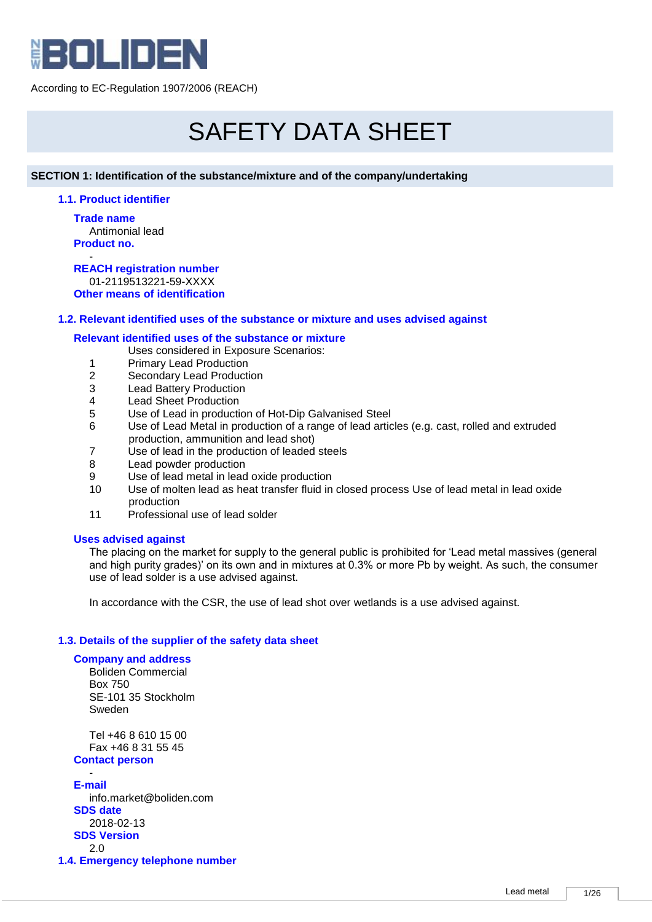

# SAFETY DATA SHEET

## **SECTION 1: Identification of the substance/mixture and of the company/undertaking**

## **1.1. Product identifier**

**Trade name** Antimonial lead **Product no.**

- **REACH registration number** 01-2119513221-59-XXXX **Other means of identification**

## **1.2. Relevant identified uses of the substance or mixture and uses advised against**

## **Relevant identified uses of the substance or mixture**

Uses considered in Exposure Scenarios:

- 1 Primary Lead Production
- 2 Secondary Lead Production<br>3 Lead Battery Production
- **Lead Battery Production**
- 4 Lead Sheet Production
- 5 Use of Lead in production of Hot-Dip Galvanised Steel
- 6 Use of Lead Metal in production of a range of lead articles (e.g. cast, rolled and extruded production, ammunition and lead shot)
- 7 Use of lead in the production of leaded steels
- 8 Lead powder production
- 9 Use of lead metal in lead oxide production
- 10 Use of molten lead as heat transfer fluid in closed process Use of lead metal in lead oxide production
- 11 Professional use of lead solder

## **Uses advised against**

The placing on the market for supply to the general public is prohibited for 'Lead metal massives (general and high purity grades)' on its own and in mixtures at 0.3% or more Pb by weight. As such, the consumer use of lead solder is a use advised against.

In accordance with the CSR, the use of lead shot over wetlands is a use advised against.

# **1.3. Details of the supplier of the safety data sheet**

## **Company and address**

Boliden Commercial Box 750 SE-101 35 Stockholm Sweden

Tel +46 8 610 15 00 Fax +46 8 31 55 45 **Contact person**

- **E-mail** info.market@boliden.com **SDS date** 2018-02-13 **SDS Version** 2.0

**1.4. Emergency telephone number**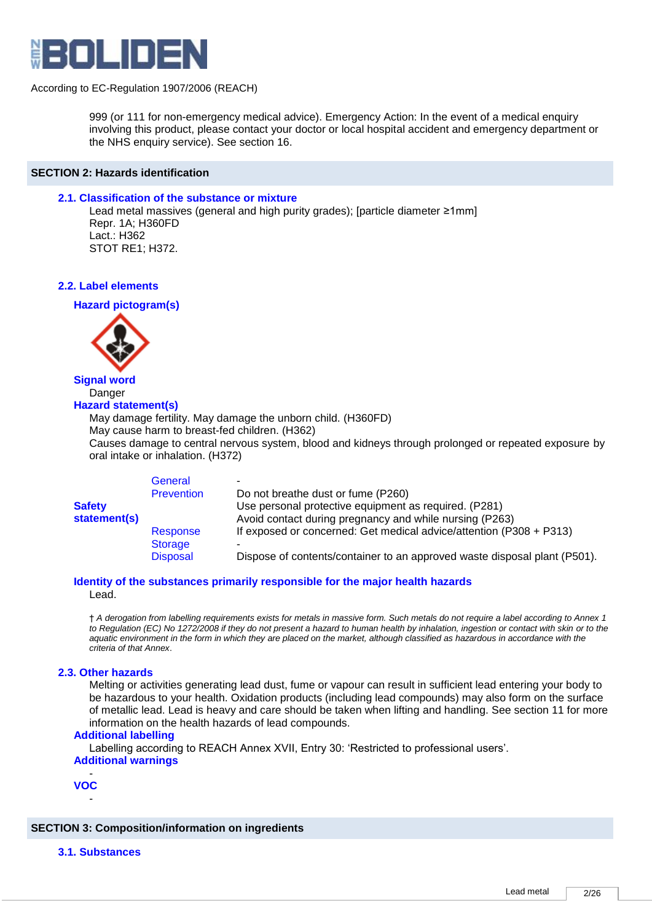

999 (or 111 for non-emergency medical advice). Emergency Action: In the event of a medical enquiry involving this product, please contact your doctor or local hospital accident and emergency department or the NHS enquiry service). See section 16.

#### **SECTION 2: Hazards identification**

#### **2.1. Classification of the substance or mixture**

Lead metal massives (general and high purity grades); [particle diameter ≥1mm] Repr. 1A; H360FD Lact.: H362 STOT RE1; H372.

#### **2.2. Label elements**

**Hazard pictogram(s)**



# **Signal word** Danger

# **Hazard statement(s)**

May damage fertility. May damage the unborn child. (H360FD)

May cause harm to breast-fed children. (H362)

Causes damage to central nervous system, blood and kidneys through prolonged or repeated exposure by oral intake or inhalation. (H372)

|               | General           |                                                                           |
|---------------|-------------------|---------------------------------------------------------------------------|
|               | <b>Prevention</b> | Do not breathe dust or fume (P260)                                        |
| <b>Safety</b> |                   | Use personal protective equipment as required. (P281)                     |
| statement(s)  |                   | Avoid contact during pregnancy and while nursing (P263)                   |
|               | Response          | If exposed or concerned: Get medical advice/attention $($ P308 + P313 $)$ |
|               | <b>Storage</b>    |                                                                           |
|               | <b>Disposal</b>   | Dispose of contents/container to an approved waste disposal plant (P501). |

#### **Identity of the substances primarily responsible for the major health hazards** Lead.

† *A derogation from labelling requirements exists for metals in massive form. Such metals do not require a label according to Annex 1 to Regulation (EC) No 1272/2008 if they do not present a hazard to human health by inhalation, ingestion or contact with skin or to the aquatic environment in the form in which they are placed on the market, although classified as hazardous in accordance with the criteria of that Annex*.

## **2.3. Other hazards**

Melting or activities generating lead dust, fume or vapour can result in sufficient lead entering your body to be hazardous to your health. Oxidation products (including lead compounds) may also form on the surface of metallic lead. Lead is heavy and care should be taken when lifting and handling. See section 11 for more information on the health hazards of lead compounds.

#### **Additional labelling**

Labelling according to REACH Annex XVII, Entry 30: 'Restricted to professional users'. **Additional warnings**

- **VOC** -

## **SECTION 3: Composition/information on ingredients**

## **3.1. Substances**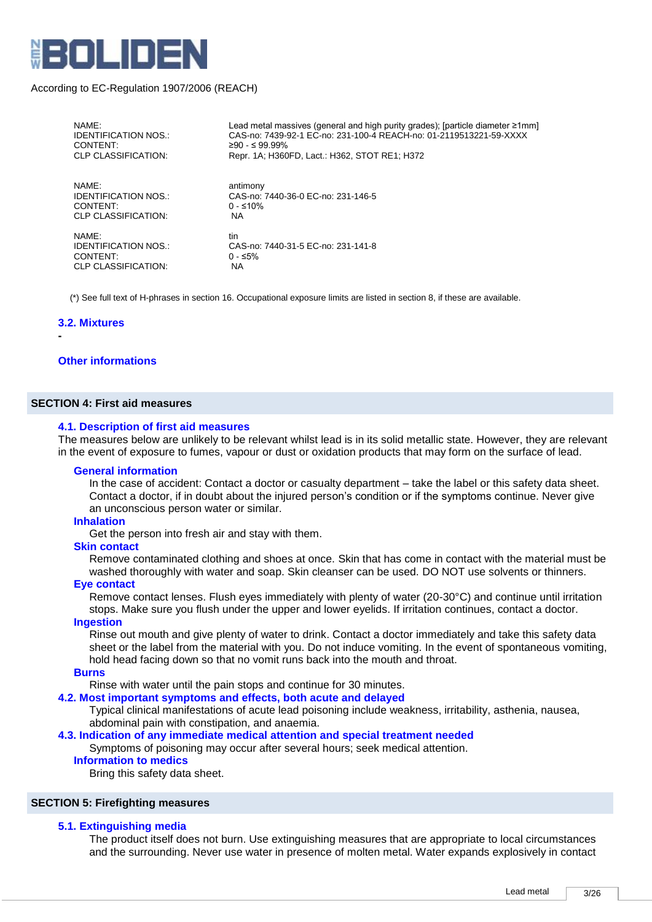

| NAMF:                       | Lead metal massives (general and high purity grades); [particle diameter ≥1mm] |
|-----------------------------|--------------------------------------------------------------------------------|
| <b>IDENTIFICATION NOS.:</b> | CAS-no: 7439-92-1 EC-no: 231-100-4 REACH-no: 01-2119513221-59-XXXX             |
| CONTENT:                    | $≥90 - ≤ 99.99%$                                                               |
| CLP CLASSIFICATION:         | Repr. 1A: H360FD, Lact.: H362, STOT RE1; H372                                  |
| NAMF:                       | antimony                                                                       |
| <b>IDENTIFICATION NOS.:</b> | CAS-no: 7440-36-0 EC-no: 231-146-5                                             |
| CONTENT:                    | $0 - ≤10%$                                                                     |
| CLP CLASSIFICATION:         | <b>NA</b>                                                                      |
| NAME:                       | tin                                                                            |
| <b>IDENTIFICATION NOS.:</b> | CAS-no: 7440-31-5 EC-no: 231-141-8                                             |
| CONTENT:                    | $0 - ≤5%$                                                                      |
| CLP CLASSIFICATION:         | NA.                                                                            |

(\*) See full text of H-phrases in section 16. Occupational exposure limits are listed in section 8, if these are available.

#### **3.2. Mixtures**

**-**

#### **Other informations**

## **SECTION 4: First aid measures**

#### **4.1. Description of first aid measures**

The measures below are unlikely to be relevant whilst lead is in its solid metallic state. However, they are relevant in the event of exposure to fumes, vapour or dust or oxidation products that may form on the surface of lead.

#### **General information**

In the case of accident: Contact a doctor or casualty department – take the label or this safety data sheet. Contact a doctor, if in doubt about the injured person's condition or if the symptoms continue. Never give an unconscious person water or similar.

#### **Inhalation**

Get the person into fresh air and stay with them.

#### **Skin contact**

Remove contaminated clothing and shoes at once. Skin that has come in contact with the material must be washed thoroughly with water and soap. Skin cleanser can be used. DO NOT use solvents or thinners.

#### **Eye contact**

Remove contact lenses. Flush eyes immediately with plenty of water (20-30°C) and continue until irritation stops. Make sure you flush under the upper and lower eyelids. If irritation continues, contact a doctor.

# **Ingestion**

Rinse out mouth and give plenty of water to drink. Contact a doctor immediately and take this safety data sheet or the label from the material with you. Do not induce vomiting. In the event of spontaneous vomiting, hold head facing down so that no vomit runs back into the mouth and throat.

#### **Burns**

Rinse with water until the pain stops and continue for 30 minutes.

#### **4.2. Most important symptoms and effects, both acute and delayed**

Typical clinical manifestations of acute lead poisoning include weakness, irritability, asthenia, nausea, abdominal pain with constipation, and anaemia.

## **4.3. Indication of any immediate medical attention and special treatment needed**

Symptoms of poisoning may occur after several hours; seek medical attention.

## **Information to medics**

Bring this safety data sheet.

#### **SECTION 5: Firefighting measures**

#### **5.1. Extinguishing media**

The product itself does not burn. Use extinguishing measures that are appropriate to local circumstances and the surrounding. Never use water in presence of molten metal. Water expands explosively in contact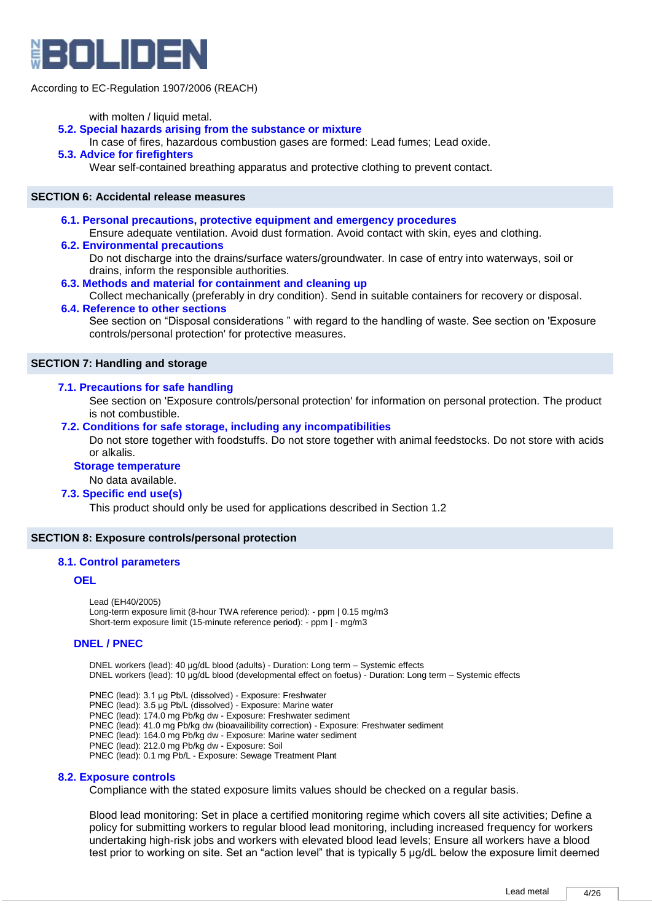

#### with molten / liquid metal.

## **5.2. Special hazards arising from the substance or mixture**

In case of fires, hazardous combustion gases are formed: Lead fumes; Lead oxide.

#### **5.3. Advice for firefighters**

Wear self-contained breathing apparatus and protective clothing to prevent contact.

#### **SECTION 6: Accidental release measures**

**6.1. Personal precautions, protective equipment and emergency procedures** 

Ensure adequate ventilation. Avoid dust formation. Avoid contact with skin, eyes and clothing.

#### **6.2. Environmental precautions**

Do not discharge into the drains/surface waters/groundwater. In case of entry into waterways, soil or drains, inform the responsible authorities.

**6.3. Methods and material for containment and cleaning up** 

Collect mechanically (preferably in dry condition). Send in suitable containers for recovery or disposal. **6.4. Reference to other sections** 

See section on "Disposal considerations " with regard to the handling of waste. See section on 'Exposure controls/personal protection' for protective measures.

#### **SECTION 7: Handling and storage**

#### **7.1. Precautions for safe handling**

See section on 'Exposure controls/personal protection' for information on personal protection. The product is not combustible.

#### **7.2. Conditions for safe storage, including any incompatibilities**

Do not store together with foodstuffs. Do not store together with animal feedstocks. Do not store with acids or alkalis.

#### **Storage temperature**

No data available.

#### **7.3. Specific end use(s)**

This product should only be used for applications described in Section 1.2

#### **SECTION 8: Exposure controls/personal protection**

#### **8.1. Control parameters**

#### **OEL**

Lead (EH40/2005) Long-term exposure limit (8-hour TWA reference period): - ppm | 0.15 mg/m3 Short-term exposure limit (15-minute reference period): - ppm | - mg/m3

## **DNEL / PNEC**

DNEL workers (lead): 40 μg/dL blood (adults) - Duration: Long term – Systemic effects DNEL workers (lead): 10 μg/dL blood (developmental effect on foetus) - Duration: Long term – Systemic effects

PNEC (lead): 3.1 μg Pb/L (dissolved) - Exposure: Freshwater PNEC (lead): 3.5 μg Pb/L (dissolved) - Exposure: Marine water PNEC (lead): 174.0 mg Pb/kg dw - Exposure: Freshwater sediment PNEC (lead): 41.0 mg Pb/kg dw (bioavailibility correction) - Exposure: Freshwater sediment PNEC (lead): 164.0 mg Pb/kg dw - Exposure: Marine water sediment PNEC (lead): 212.0 mg Pb/kg dw - Exposure: Soil PNEC (lead): 0.1 mg Pb/L - Exposure: Sewage Treatment Plant

#### **8.2. Exposure controls**

Compliance with the stated exposure limits values should be checked on a regular basis.

Blood lead monitoring: Set in place a certified monitoring regime which covers all site activities; Define a policy for submitting workers to regular blood lead monitoring, including increased frequency for workers undertaking high-risk jobs and workers with elevated blood lead levels; Ensure all workers have a blood test prior to working on site. Set an "action level" that is typically 5 µg/dL below the exposure limit deemed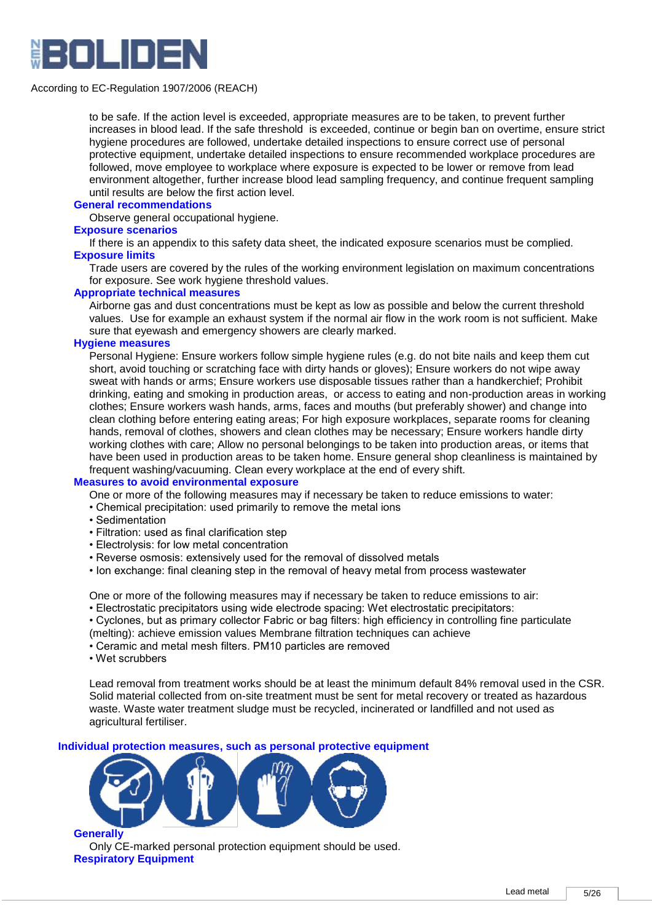

to be safe. If the action level is exceeded, appropriate measures are to be taken, to prevent further increases in blood lead. If the safe threshold is exceeded, continue or begin ban on overtime, ensure strict hygiene procedures are followed, undertake detailed inspections to ensure correct use of personal protective equipment, undertake detailed inspections to ensure recommended workplace procedures are followed, move employee to workplace where exposure is expected to be lower or remove from lead environment altogether, further increase blood lead sampling frequency, and continue frequent sampling until results are below the first action level.

#### **General recommendations**

Observe general occupational hygiene.

#### **Exposure scenarios**

If there is an appendix to this safety data sheet, the indicated exposure scenarios must be complied. **Exposure limits**

Trade users are covered by the rules of the working environment legislation on maximum concentrations for exposure. See work hygiene threshold values.

# **Appropriate technical measures**

Airborne gas and dust concentrations must be kept as low as possible and below the current threshold values. Use for example an exhaust system if the normal air flow in the work room is not sufficient. Make sure that eyewash and emergency showers are clearly marked.

#### **Hygiene measures**

Personal Hygiene: Ensure workers follow simple hygiene rules (e.g. do not bite nails and keep them cut short, avoid touching or scratching face with dirty hands or gloves); Ensure workers do not wipe away sweat with hands or arms; Ensure workers use disposable tissues rather than a handkerchief; Prohibit drinking, eating and smoking in production areas, or access to eating and non-production areas in working clothes; Ensure workers wash hands, arms, faces and mouths (but preferably shower) and change into clean clothing before entering eating areas; For high exposure workplaces, separate rooms for cleaning hands, removal of clothes, showers and clean clothes may be necessary; Ensure workers handle dirty working clothes with care; Allow no personal belongings to be taken into production areas, or items that have been used in production areas to be taken home. Ensure general shop cleanliness is maintained by frequent washing/vacuuming. Clean every workplace at the end of every shift.

## **Measures to avoid environmental exposure**

- One or more of the following measures may if necessary be taken to reduce emissions to water:
- Chemical precipitation: used primarily to remove the metal ions
- Sedimentation
- Filtration: used as final clarification step
- Electrolysis: for low metal concentration
- Reverse osmosis: extensively used for the removal of dissolved metals
- Ion exchange: final cleaning step in the removal of heavy metal from process wastewater

One or more of the following measures may if necessary be taken to reduce emissions to air: • Electrostatic precipitators using wide electrode spacing: Wet electrostatic precipitators:

- Cyclones, but as primary collector Fabric or bag filters: high efficiency in controlling fine particulate
- (melting): achieve emission values Membrane filtration techniques can achieve
- Ceramic and metal mesh filters. PM10 particles are removed
- Wet scrubbers

Lead removal from treatment works should be at least the minimum default 84% removal used in the CSR. Solid material collected from on-site treatment must be sent for metal recovery or treated as hazardous waste. Waste water treatment sludge must be recycled, incinerated or landfilled and not used as agricultural fertiliser.

**Individual protection measures, such as personal protective equipment**



Only CE-marked personal protection equipment should be used. **Respiratory Equipment**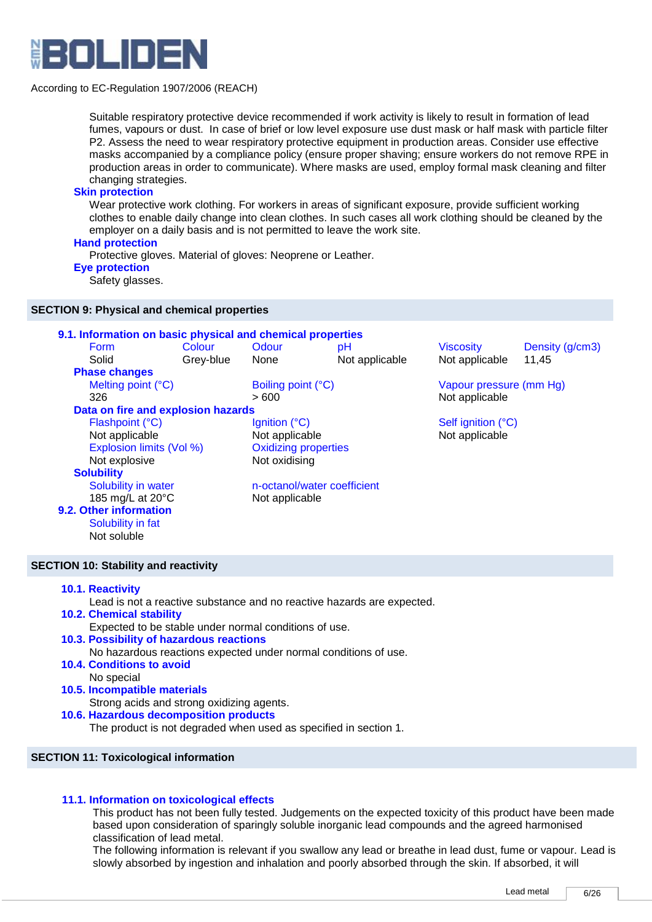

Suitable respiratory protective device recommended if work activity is likely to result in formation of lead fumes, vapours or dust. In case of brief or low level exposure use dust mask or half mask with particle filter P2. Assess the need to wear respiratory protective equipment in production areas. Consider use effective masks accompanied by a compliance policy (ensure proper shaving; ensure workers do not remove RPE in production areas in order to communicate). Where masks are used, employ formal mask cleaning and filter changing strategies.

## **Skin protection**

Wear protective work clothing. For workers in areas of significant exposure, provide sufficient working clothes to enable daily change into clean clothes. In such cases all work clothing should be cleaned by the employer on a daily basis and is not permitted to leave the work site.

# **Hand protection**

Protective gloves. Material of gloves: Neoprene or Leather.

# **Eye protection**

Safety glasses.

## **SECTION 9: Physical and chemical properties**

| 9.1. Information on basic physical and chemical properties |           |                             |                             |                         |                 |
|------------------------------------------------------------|-----------|-----------------------------|-----------------------------|-------------------------|-----------------|
| <b>Form</b>                                                | Colour    | Odour                       | рH                          | <b>Viscosity</b>        | Density (g/cm3) |
| Solid                                                      | Grey-blue | None                        | Not applicable              | Not applicable          | 11.45           |
| <b>Phase changes</b>                                       |           |                             |                             |                         |                 |
| Melting point (°C)                                         |           | Boiling point (°C)          |                             | Vapour pressure (mm Hg) |                 |
| 326                                                        |           | > 600                       |                             | Not applicable          |                 |
| Data on fire and explosion hazards                         |           |                             |                             |                         |                 |
| Flashpoint (°C)                                            |           | Ignition $(^{\circ}C)$      |                             | Self ignition (°C)      |                 |
| Not applicable                                             |           | Not applicable              |                             | Not applicable          |                 |
| Explosion limits (Vol %)                                   |           | <b>Oxidizing properties</b> |                             |                         |                 |
| Not explosive                                              |           | Not oxidising               |                             |                         |                 |
| <b>Solubility</b>                                          |           |                             |                             |                         |                 |
| Solubility in water                                        |           |                             | n-octanol/water coefficient |                         |                 |
| 185 mg/L at 20°C                                           |           | Not applicable              |                             |                         |                 |
| 9.2. Other information                                     |           |                             |                             |                         |                 |
| Solubility in fat                                          |           |                             |                             |                         |                 |
| Not soluble                                                |           |                             |                             |                         |                 |
|                                                            |           |                             |                             |                         |                 |

## **SECTION 10: Stability and reactivity**

- **10.1. Reactivity** 
	- Lead is not a reactive substance and no reactive hazards are expected.
- **10.2. Chemical stability**  Expected to be stable under normal conditions of use.
- **10.3. Possibility of hazardous reactions**

No hazardous reactions expected under normal conditions of use.

- **10.4. Conditions to avoid** 
	- No special
- **10.5. Incompatible materials**

Strong acids and strong oxidizing agents.

**10.6. Hazardous decomposition products** 

The product is not degraded when used as specified in section 1.

## **SECTION 11: Toxicological information**

## **11.1. Information on toxicological effects**

This product has not been fully tested. Judgements on the expected toxicity of this product have been made based upon consideration of sparingly soluble inorganic lead compounds and the agreed harmonised classification of lead metal.

The following information is relevant if you swallow any lead or breathe in lead dust, fume or vapour. Lead is slowly absorbed by ingestion and inhalation and poorly absorbed through the skin. If absorbed, it will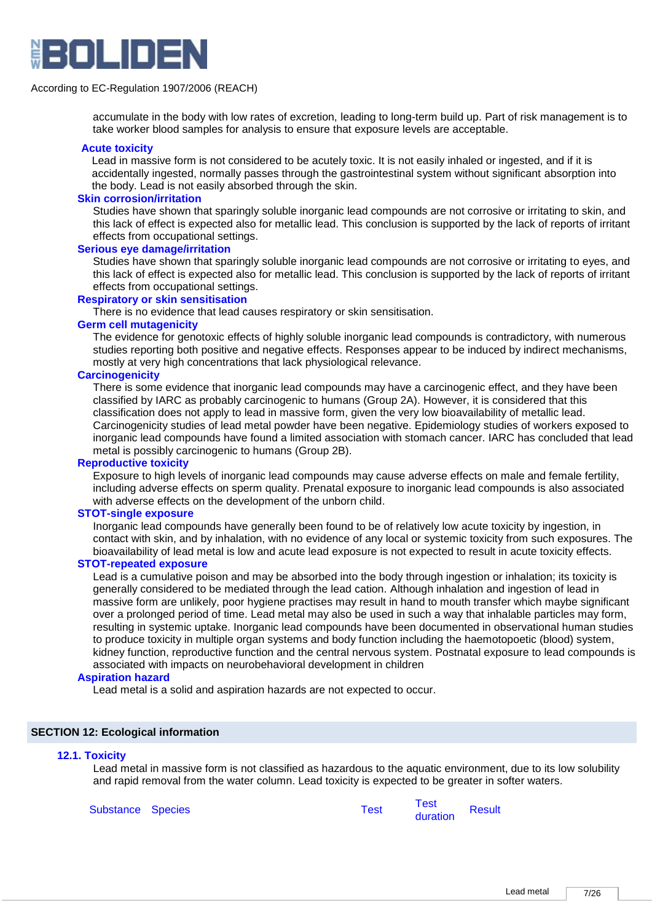

accumulate in the body with low rates of excretion, leading to long-term build up. Part of risk management is to take worker blood samples for analysis to ensure that exposure levels are acceptable.

#### **Acute toxicity**

Lead in massive form is not considered to be acutely toxic. It is not easily inhaled or ingested, and if it is accidentally ingested, normally passes through the gastrointestinal system without significant absorption into the body. Lead is not easily absorbed through the skin.

#### **Skin corrosion/irritation**

Studies have shown that sparingly soluble inorganic lead compounds are not corrosive or irritating to skin, and this lack of effect is expected also for metallic lead. This conclusion is supported by the lack of reports of irritant effects from occupational settings.

## **Serious eye damage/irritation**

Studies have shown that sparingly soluble inorganic lead compounds are not corrosive or irritating to eyes, and this lack of effect is expected also for metallic lead. This conclusion is supported by the lack of reports of irritant effects from occupational settings.

#### **Respiratory or skin sensitisation**

There is no evidence that lead causes respiratory or skin sensitisation.

## **Germ cell mutagenicity**

The evidence for genotoxic effects of highly soluble inorganic lead compounds is contradictory, with numerous studies reporting both positive and negative effects. Responses appear to be induced by indirect mechanisms, mostly at very high concentrations that lack physiological relevance.

## **Carcinogenicity**

There is some evidence that inorganic lead compounds may have a carcinogenic effect, and they have been classified by IARC as probably carcinogenic to humans (Group 2A). However, it is considered that this classification does not apply to lead in massive form, given the very low bioavailability of metallic lead. Carcinogenicity studies of lead metal powder have been negative. Epidemiology studies of workers exposed to inorganic lead compounds have found a limited association with stomach cancer. IARC has concluded that lead metal is possibly carcinogenic to humans (Group 2B).

## **Reproductive toxicity**

Exposure to high levels of inorganic lead compounds may cause adverse effects on male and female fertility, including adverse effects on sperm quality. Prenatal exposure to inorganic lead compounds is also associated with adverse effects on the development of the unborn child.

#### **STOT-single exposure**

Inorganic lead compounds have generally been found to be of relatively low acute toxicity by ingestion, in contact with skin, and by inhalation, with no evidence of any local or systemic toxicity from such exposures. The bioavailability of lead metal is low and acute lead exposure is not expected to result in acute toxicity effects.

#### **STOT-repeated exposure**

Lead is a cumulative poison and may be absorbed into the body through ingestion or inhalation; its toxicity is generally considered to be mediated through the lead cation. Although inhalation and ingestion of lead in massive form are unlikely, poor hygiene practises may result in hand to mouth transfer which maybe significant over a prolonged period of time. Lead metal may also be used in such a way that inhalable particles may form, resulting in systemic uptake. Inorganic lead compounds have been documented in observational human studies to produce toxicity in multiple organ systems and body function including the haemotopoetic (blood) system, kidney function, reproductive function and the central nervous system. Postnatal exposure to lead compounds is associated with impacts on neurobehavioral development in children

#### **Aspiration hazard**

Lead metal is a solid and aspiration hazards are not expected to occur.

#### **SECTION 12: Ecological information**

#### **12.1. Toxicity**

Lead metal in massive form is not classified as hazardous to the aquatic environment, due to its low solubility and rapid removal from the water column. Lead toxicity is expected to be greater in softer waters.

Substance Species Test Test

duration Result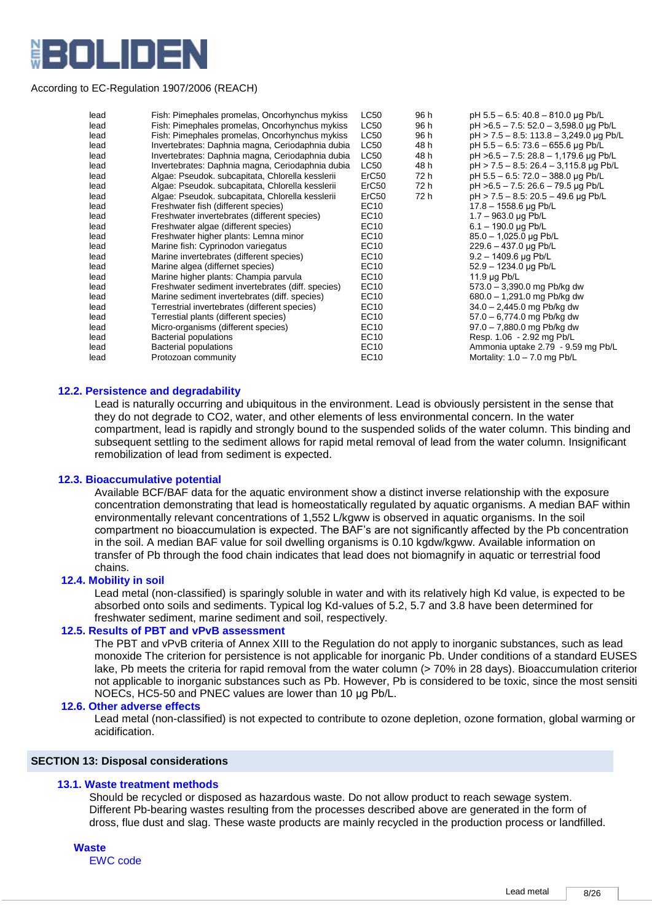

| lead | Fish: Pimephales promelas, Oncorhynchus mykiss    | <b>LC50</b>       | 96 h | pH 5.5 - 6.5: 40.8 - 810.0 µg Pb/L        |
|------|---------------------------------------------------|-------------------|------|-------------------------------------------|
| lead | Fish: Pimephales promelas, Oncorhynchus mykiss    | <b>LC50</b>       | 96 h | pH >6.5 - 7.5: 52.0 - 3,598.0 µg Pb/L     |
| lead | Fish: Pimephales promelas, Oncorhynchus mykiss    | <b>LC50</b>       | 96 h | pH > 7.5 - 8.5: 113.8 - 3,249.0 µg Pb/L   |
| lead | Invertebrates: Daphnia magna, Ceriodaphnia dubia  | LC50              | 48 h | pH 5.5 - 6.5: 73.6 - 655.6 µg Pb/L        |
| lead | Invertebrates: Daphnia magna, Ceriodaphnia dubia  | <b>LC50</b>       | 48 h | pH >6.5 - 7.5: 28.8 - 1,179.6 µg Pb/L     |
| lead | Invertebrates: Daphnia magna, Ceriodaphnia dubia  | LC50              | 48 h | $pH > 7.5 - 8.5$ : 26.4 - 3,115.8 µg Pb/L |
| lead | Algae: Pseudok. subcapitata, Chlorella kesslerii  | ErC50             | 72 h | pH 5.5 - 6.5: 72.0 - 388.0 µg Pb/L        |
| lead | Algae: Pseudok. subcapitata, Chlorella kesslerii  | ErC50             | 72 h | pH >6.5 - 7.5: 26.6 - 79.5 µg Pb/L        |
| lead | Algae: Pseudok. subcapitata, Chlorella kesslerii  | ErC <sub>50</sub> | 72 h | pH > 7.5 - 8.5: 20.5 - 49.6 µg Pb/L       |
| lead | Freshwater fish (different species)               | EC10              |      | $17.8 - 1558.6 \,\mu g \,\text{Pb/L}$     |
| lead | Freshwater invertebrates (different species)      | EC10              |      | $1.7 - 963.0$ µg Pb/L                     |
| lead | Freshwater algae (different species)              | EC10              |      | $6.1 - 190.0 \,\mu g \,\text{Pb/L}$       |
| lead | Freshwater higher plants: Lemna minor             | EC10              |      | 85.0 - 1,025.0 µg Pb/L                    |
| lead | Marine fish: Cyprinodon variegatus                | EC10              |      | 229.6 - 437.0 µg Pb/L                     |
| lead | Marine invertebrates (different species)          | EC10              |      | $9.2 - 1409.6$ µg Pb/L                    |
| lead | Marine algea (differnet species)                  | EC10              |      | 52.9 - 1234.0 µg Pb/L                     |
| lead | Marine higher plants: Champia parvula             | EC10              |      | 11.9 $\mu$ g Pb/L                         |
| lead | Freshwater sediment invertebrates (diff. species) | EC10              |      | $573.0 - 3390.0$ mg Pb/kg dw              |
| lead | Marine sediment invertebrates (diff. species)     | EC10              |      | 680.0 - 1,291.0 mg Pb/kg dw               |
| lead | Terrestrial invertebrates (different species)     | EC10              |      | 34.0 - 2,445.0 mg Pb/kg dw                |
| lead | Terrestial plants (different species)             | EC10              |      | 57.0 - 6,774.0 mg Pb/kg dw                |
| lead | Micro-organisms (different species)               | EC10              |      | 97.0 - 7,880.0 mg Pb/kg dw                |
| lead | <b>Bacterial populations</b>                      | EC10              |      | Resp. 1.06 - 2.92 mg Pb/L                 |
| lead | Bacterial populations                             | EC10              |      | Ammonia uptake 2.79 - 9.59 mg Pb/L        |
| lead | Protozoan community                               | EC <sub>10</sub>  |      | Mortality: $1.0 - 7.0$ mg Pb/L            |
|      |                                                   |                   |      |                                           |

#### **12.2. Persistence and degradability**

 Lead is naturally occurring and ubiquitous in the environment. Lead is obviously persistent in the sense that they do not degrade to CO2, water, and other elements of less environmental concern. In the water compartment, lead is rapidly and strongly bound to the suspended solids of the water column. This binding and subsequent settling to the sediment allows for rapid metal removal of lead from the water column. Insignificant remobilization of lead from sediment is expected.

#### **12.3. Bioaccumulative potential**

 Available BCF/BAF data for the aquatic environment show a distinct inverse relationship with the exposure concentration demonstrating that lead is homeostatically regulated by aquatic organisms. A median BAF within environmentally relevant concentrations of 1,552 L/kgww is observed in aquatic organisms. In the soil compartment no bioaccumulation is expected. The BAF's are not significantly affected by the Pb concentration in the soil. A median BAF value for soil dwelling organisms is 0.10 kgdw/kgww. Available information on transfer of Pb through the food chain indicates that lead does not biomagnify in aquatic or terrestrial food chains.

#### **12.4. Mobility in soil**

Lead metal (non-classified) is sparingly soluble in water and with its relatively high Kd value, is expected to be absorbed onto soils and sediments. Typical log Kd-values of 5.2, 5.7 and 3.8 have been determined for freshwater sediment, marine sediment and soil, respectively.

# **12.5. Results of PBT and vPvB assessment**

The PBT and vPvB criteria of Annex XIII to the Regulation do not apply to inorganic substances, such as lead monoxide The criterion for persistence is not applicable for inorganic Pb. Under conditions of a standard EUSES lake, Pb meets the criteria for rapid removal from the water column (> 70% in 28 days). Bioaccumulation criterior not applicable to inorganic substances such as Pb. However, Pb is considered to be toxic, since the most sensiti NOECs, HC5-50 and PNEC values are lower than 10 μg Pb/L.

#### **12.6. Other adverse effects**

Lead metal (non-classified) is not expected to contribute to ozone depletion, ozone formation, global warming or acidification.

# **SECTION 13: Disposal considerations**

#### **13.1. Waste treatment methods**

Should be recycled or disposed as hazardous waste. Do not allow product to reach sewage system. Different Pb-bearing wastes resulting from the processes described above are generated in the form of dross, flue dust and slag. These waste products are mainly recycled in the production process or landfilled.

## **Waste**

EWC code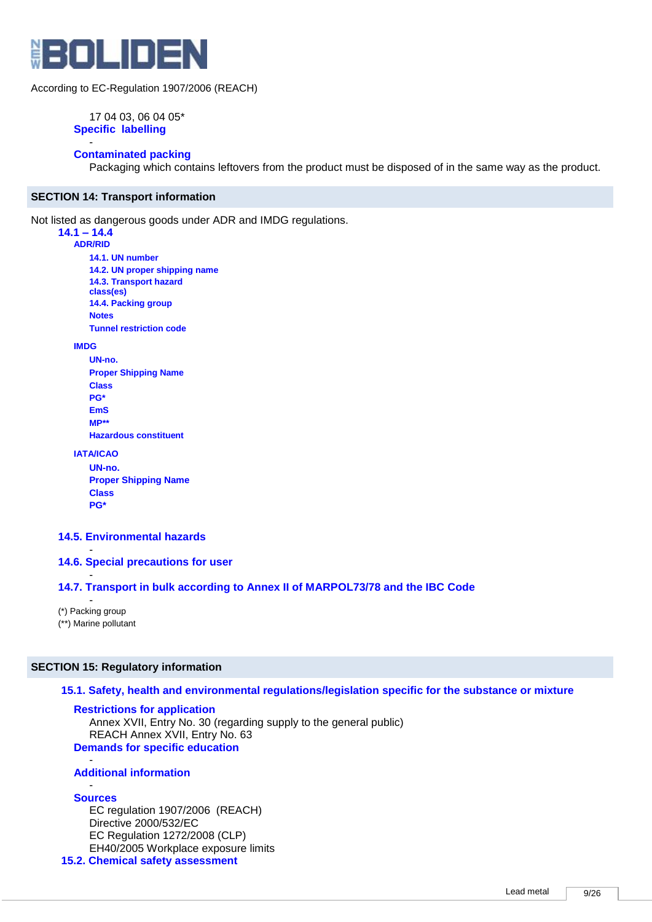

17 04 03, 06 04 05\* **Specific labelling**

#### - **Contaminated packing**

Packaging which contains leftovers from the product must be disposed of in the same way as the product.

## **SECTION 14: Transport information**

Not listed as dangerous goods under ADR and IMDG regulations.

# **14.1 – 14.4**

**ADR/RID 14.1. UN number 14.2. UN proper shipping name 14.3. Transport hazard class(es) 14.4. Packing group Notes**

**Tunnel restriction code**

**IMDG**

**UN-no. Proper Shipping Name Class PG\* EmS MP\*\* Hazardous constituent**

**IATA/ICAO**

```
UN-no.
Proper Shipping Name
Class
PG*
```
## **14.5. Environmental hazards**

- **14.6. Special precautions for user** 

## **14.7. Transport in bulk according to Annex II of MARPOL73/78 and the IBC Code**

- (\*) Packing group (\*\*) Marine pollutant

-

## **SECTION 15: Regulatory information**

## **15.1. Safety, health and environmental regulations/legislation specific for the substance or mixture**

**Restrictions for application**

Annex XVII, Entry No. 30 (regarding supply to the general public) REACH Annex XVII, Entry No. 63 **Demands for specific education**

#### - **Additional information**

#### - **Sources**

EC regulation 1907/2006 (REACH) Directive 2000/532/EC EC Regulation 1272/2008 (CLP) EH40/2005 Workplace exposure limits

#### **15.2. Chemical safety assessment**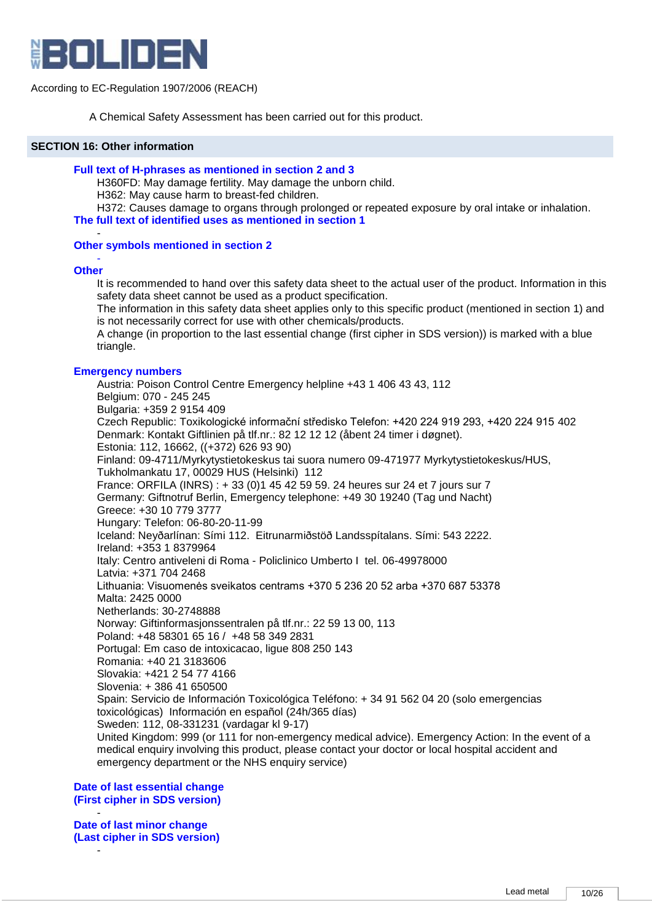

A Chemical Safety Assessment has been carried out for this product.

#### **SECTION 16: Other information**

#### **Full text of H-phrases as mentioned in section 2 and 3**

H360FD: May damage fertility. May damage the unborn child.

H362: May cause harm to breast-fed children.

H372: Causes damage to organs through prolonged or repeated exposure by oral intake or inhalation.

**The full text of identified uses as mentioned in section 1**

#### **Other symbols mentioned in section 2**

#### - **Other**

-

It is recommended to hand over this safety data sheet to the actual user of the product. Information in this safety data sheet cannot be used as a product specification.

The information in this safety data sheet applies only to this specific product (mentioned in section 1) and is not necessarily correct for use with other chemicals/products.

A change (in proportion to the last essential change (first cipher in SDS version)) is marked with a blue triangle.

## **Emergency numbers**

Austria: Poison Control Centre Emergency helpline +43 1 406 43 43, 112 Belgium: 070 - 245 245 Bulgaria: +359 2 9154 409 Czech Republic: Toxikologické informační středisko Telefon: +420 224 919 293, +420 224 915 402 Denmark: Kontakt Giftlinien på tlf.nr.: 82 12 12 12 (åbent 24 timer i døgnet). Estonia: 112, 16662, ((+372) 626 93 90) Finland: 09-4711/Myrkytystietokeskus tai suora numero 09-471977 Myrkytystietokeskus/HUS, Tukholmankatu 17, 00029 HUS (Helsinki) 112 France: ORFILA (INRS) : + 33 (0)1 45 42 59 59. 24 heures sur 24 et 7 jours sur 7 Germany: Giftnotruf Berlin, Emergency telephone: +49 30 19240 (Tag und Nacht) Greece: +30 10 779 3777 Hungary: Telefon: 06-80-20-11-99 Iceland: Neyðarlínan: Sími 112. Eitrunarmiðstöð Landsspítalans. Sími: 543 2222. Ireland: +353 1 8379964 Italy: Centro antiveleni di Roma - Policlinico Umberto I tel. 06-49978000 Latvia: +371 704 2468 Lithuania: Visuomenės sveikatos centrams +370 5 236 20 52 arba +370 687 53378 Malta: 2425 0000 Netherlands: 30-2748888 Norway: Giftinformasjonssentralen på tlf.nr.: 22 59 13 00, 113 Poland: +48 58301 65 16 / +48 58 349 2831 Portugal: Em caso de intoxicacao, ligue 808 250 143 Romania: +40 21 3183606 Slovakia: +421 2 54 77 4166 Slovenia: + 386 41 650500 Spain: Servicio de Información Toxicológica Teléfono: + 34 91 562 04 20 (solo emergencias toxicológicas) Información en español (24h/365 días) Sweden: 112, 08-331231 (vardagar kl 9-17) United Kingdom: 999 (or 111 for non-emergency medical advice). Emergency Action: In the event of a medical enquiry involving this product, please contact your doctor or local hospital accident and emergency department or the NHS enquiry service)

**Date of last essential change (First cipher in SDS version)**

- **Date of last minor change (Last cipher in SDS version)**

-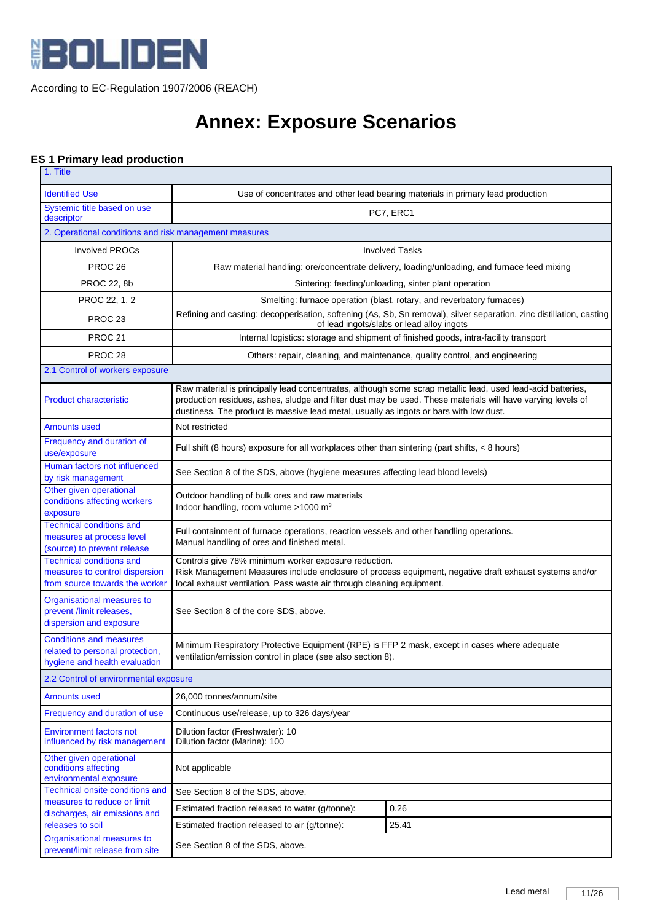

# **Annex: Exposure Scenarios**

# **ES 1 Primary lead production**

| 1. Title                                                                                            |                                                                                                                                                                                                                                         |                                                                                                                                                                   |  |  |
|-----------------------------------------------------------------------------------------------------|-----------------------------------------------------------------------------------------------------------------------------------------------------------------------------------------------------------------------------------------|-------------------------------------------------------------------------------------------------------------------------------------------------------------------|--|--|
| <b>Identified Use</b>                                                                               | Use of concentrates and other lead bearing materials in primary lead production                                                                                                                                                         |                                                                                                                                                                   |  |  |
| Systemic title based on use<br>descriptor                                                           | PC7, ERC1                                                                                                                                                                                                                               |                                                                                                                                                                   |  |  |
| 2. Operational conditions and risk management measures                                              |                                                                                                                                                                                                                                         |                                                                                                                                                                   |  |  |
| <b>Involved PROCs</b>                                                                               | <b>Involved Tasks</b>                                                                                                                                                                                                                   |                                                                                                                                                                   |  |  |
| PROC <sub>26</sub>                                                                                  | Raw material handling: ore/concentrate delivery, loading/unloading, and furnace feed mixing                                                                                                                                             |                                                                                                                                                                   |  |  |
| <b>PROC 22, 8b</b>                                                                                  | Sintering: feeding/unloading, sinter plant operation                                                                                                                                                                                    |                                                                                                                                                                   |  |  |
| PROC 22, 1, 2                                                                                       | Smelting: furnace operation (blast, rotary, and reverbatory furnaces)                                                                                                                                                                   |                                                                                                                                                                   |  |  |
| PROC <sub>23</sub>                                                                                  |                                                                                                                                                                                                                                         | Refining and casting: decopperisation, softening (As, Sb, Sn removal), silver separation, zinc distillation, casting<br>of lead ingots/slabs or lead alloy ingots |  |  |
| <b>PROC 21</b>                                                                                      |                                                                                                                                                                                                                                         | Internal logistics: storage and shipment of finished goods, intra-facility transport                                                                              |  |  |
| PROC <sub>28</sub>                                                                                  |                                                                                                                                                                                                                                         | Others: repair, cleaning, and maintenance, quality control, and engineering                                                                                       |  |  |
| 2.1 Control of workers exposure                                                                     |                                                                                                                                                                                                                                         |                                                                                                                                                                   |  |  |
| <b>Product characteristic</b>                                                                       | Raw material is principally lead concentrates, although some scrap metallic lead, used lead-acid batteries,<br>dustiness. The product is massive lead metal, usually as ingots or bars with low dust.                                   | production residues, ashes, sludge and filter dust may be used. These materials will have varying levels of                                                       |  |  |
| <b>Amounts used</b>                                                                                 | Not restricted                                                                                                                                                                                                                          |                                                                                                                                                                   |  |  |
| Frequency and duration of<br>use/exposure                                                           |                                                                                                                                                                                                                                         | Full shift (8 hours) exposure for all workplaces other than sintering (part shifts, < 8 hours)                                                                    |  |  |
| Human factors not influenced<br>by risk management                                                  | See Section 8 of the SDS, above (hygiene measures affecting lead blood levels)                                                                                                                                                          |                                                                                                                                                                   |  |  |
| Other given operational<br>conditions affecting workers<br>exposure                                 | Outdoor handling of bulk ores and raw materials<br>Indoor handling, room volume >1000 m <sup>3</sup>                                                                                                                                    |                                                                                                                                                                   |  |  |
| <b>Technical conditions and</b><br>measures at process level<br>(source) to prevent release         | Full containment of furnace operations, reaction vessels and other handling operations.<br>Manual handling of ores and finished metal.                                                                                                  |                                                                                                                                                                   |  |  |
| <b>Technical conditions and</b><br>measures to control dispersion<br>from source towards the worker | Controls give 78% minimum worker exposure reduction.<br>Risk Management Measures include enclosure of process equipment, negative draft exhaust systems and/or<br>local exhaust ventilation. Pass waste air through cleaning equipment. |                                                                                                                                                                   |  |  |
| Organisational measures to<br>prevent /limit releases,<br>dispersion and exposure                   | See Section 8 of the core SDS, above.                                                                                                                                                                                                   |                                                                                                                                                                   |  |  |
| <b>Conditions and measures</b><br>related to personal protection,<br>hygiene and health evaluation  | Minimum Respiratory Protective Equipment (RPE) is FFP 2 mask, except in cases where adequate<br>ventilation/emission control in place (see also section 8).                                                                             |                                                                                                                                                                   |  |  |
| 2.2 Control of environmental exposure                                                               |                                                                                                                                                                                                                                         |                                                                                                                                                                   |  |  |
| <b>Amounts used</b>                                                                                 | 26,000 tonnes/annum/site                                                                                                                                                                                                                |                                                                                                                                                                   |  |  |
| Frequency and duration of use                                                                       | Continuous use/release, up to 326 days/year                                                                                                                                                                                             |                                                                                                                                                                   |  |  |
| <b>Environment factors not</b><br>influenced by risk management                                     | Dilution factor (Freshwater): 10<br>Dilution factor (Marine): 100                                                                                                                                                                       |                                                                                                                                                                   |  |  |
| Other given operational<br>conditions affecting<br>environmental exposure                           | Not applicable                                                                                                                                                                                                                          |                                                                                                                                                                   |  |  |
| Technical onsite conditions and<br>measures to reduce or limit                                      | See Section 8 of the SDS, above.                                                                                                                                                                                                        |                                                                                                                                                                   |  |  |
| discharges, air emissions and                                                                       | 0.26<br>Estimated fraction released to water (g/tonne):                                                                                                                                                                                 |                                                                                                                                                                   |  |  |
| releases to soil                                                                                    | 25.41<br>Estimated fraction released to air (g/tonne):                                                                                                                                                                                  |                                                                                                                                                                   |  |  |
| Organisational measures to<br>prevent/limit release from site                                       | See Section 8 of the SDS, above.                                                                                                                                                                                                        |                                                                                                                                                                   |  |  |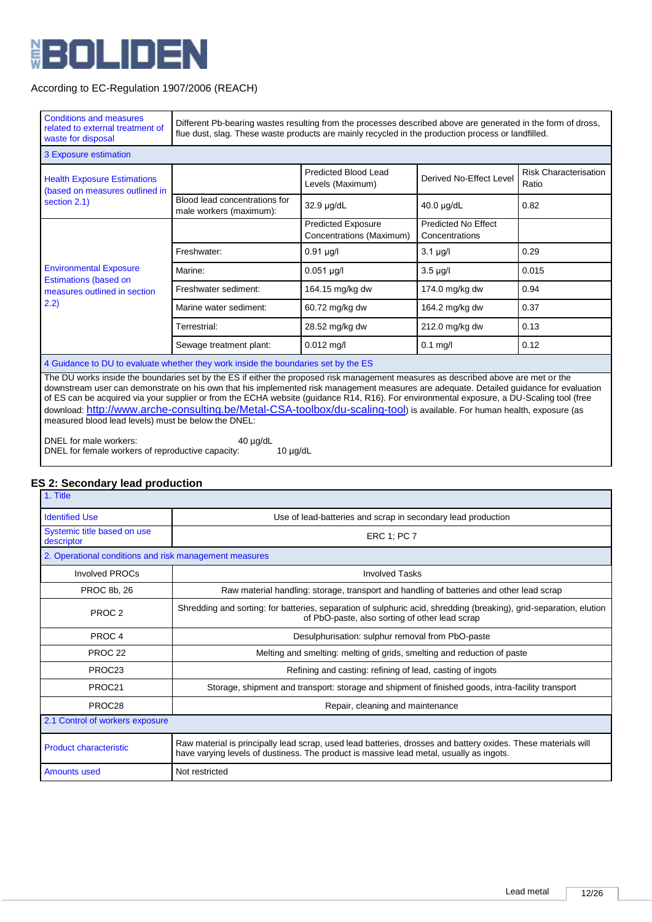

| <b>Conditions and measures</b><br>related to external treatment of<br>waste for disposal                                                                                                                                                                                                                                                                                                                                                                                                                                                                                                                      | Different Pb-bearing wastes resulting from the processes described above are generated in the form of dross,<br>flue dust, slag. These waste products are mainly recycled in the production process or landfilled. |                                                       |                                       |                                       |  |
|---------------------------------------------------------------------------------------------------------------------------------------------------------------------------------------------------------------------------------------------------------------------------------------------------------------------------------------------------------------------------------------------------------------------------------------------------------------------------------------------------------------------------------------------------------------------------------------------------------------|--------------------------------------------------------------------------------------------------------------------------------------------------------------------------------------------------------------------|-------------------------------------------------------|---------------------------------------|---------------------------------------|--|
| 3 Exposure estimation                                                                                                                                                                                                                                                                                                                                                                                                                                                                                                                                                                                         |                                                                                                                                                                                                                    |                                                       |                                       |                                       |  |
| <b>Health Exposure Estimations</b><br>(based on measures outlined in                                                                                                                                                                                                                                                                                                                                                                                                                                                                                                                                          |                                                                                                                                                                                                                    | <b>Predicted Blood Lead</b><br>Levels (Maximum)       | Derived No-Effect Level               | <b>Risk Characterisation</b><br>Ratio |  |
| section 2.1)                                                                                                                                                                                                                                                                                                                                                                                                                                                                                                                                                                                                  | Blood lead concentrations for<br>male workers (maximum):                                                                                                                                                           | 32.9 µg/dL                                            | 40.0 µg/dL                            | 0.82                                  |  |
|                                                                                                                                                                                                                                                                                                                                                                                                                                                                                                                                                                                                               |                                                                                                                                                                                                                    | <b>Predicted Exposure</b><br>Concentrations (Maximum) | Predicted No Effect<br>Concentrations |                                       |  |
|                                                                                                                                                                                                                                                                                                                                                                                                                                                                                                                                                                                                               | Freshwater:                                                                                                                                                                                                        | $0.91 \mu g/l$                                        | $3.1 \mu g/l$                         | 0.29                                  |  |
| <b>Environmental Exposure</b>                                                                                                                                                                                                                                                                                                                                                                                                                                                                                                                                                                                 | Marine:                                                                                                                                                                                                            | $0.051$ µg/l                                          | $3.5 \mu g/l$                         | 0.015                                 |  |
| <b>Estimations (based on</b><br>measures outlined in section                                                                                                                                                                                                                                                                                                                                                                                                                                                                                                                                                  | Freshwater sediment:                                                                                                                                                                                               | 164.15 mg/kg dw                                       | 174.0 mg/kg dw                        | 0.94                                  |  |
| 2.2)                                                                                                                                                                                                                                                                                                                                                                                                                                                                                                                                                                                                          | Marine water sediment:                                                                                                                                                                                             | 60.72 mg/kg dw                                        | 164.2 mg/kg dw                        | 0.37                                  |  |
|                                                                                                                                                                                                                                                                                                                                                                                                                                                                                                                                                                                                               | Terrestrial:                                                                                                                                                                                                       | 28.52 mg/kg dw                                        | 212.0 mg/kg dw                        | 0.13                                  |  |
|                                                                                                                                                                                                                                                                                                                                                                                                                                                                                                                                                                                                               | Sewage treatment plant:                                                                                                                                                                                            | $0.012$ mg/l                                          | $0.1$ mg/l                            | 0.12                                  |  |
| 4 Guidance to DU to evaluate whether they work inside the boundaries set by the ES                                                                                                                                                                                                                                                                                                                                                                                                                                                                                                                            |                                                                                                                                                                                                                    |                                                       |                                       |                                       |  |
| The DU works inside the boundaries set by the ES if either the proposed risk management measures as described above are met or the<br>downstream user can demonstrate on his own that his implemented risk management measures are adequate. Detailed guidance for evaluation<br>of ES can be acquired via your supplier or from the ECHA website (guidance R14, R16). For environmental exposure, a DU-Scaling tool (free<br>download: http://www.arche-consulting.be/Metal-CSA-toolbox/du-scaling-tool) is available. For human health, exposure (as<br>measured blood lead levels) must be below the DNEL: |                                                                                                                                                                                                                    |                                                       |                                       |                                       |  |

DNEL for male workers: 40 µg/dL DNEL for female workers of reproductive capacity: 10 µg/dL

# **ES 2: Secondary lead production**

| 1. Title                                               |                                                                                                                                                                                                          |  |  |  |  |
|--------------------------------------------------------|----------------------------------------------------------------------------------------------------------------------------------------------------------------------------------------------------------|--|--|--|--|
| <b>Identified Use</b>                                  | Use of lead-batteries and scrap in secondary lead production                                                                                                                                             |  |  |  |  |
| Systemic title based on use<br>descriptor              | ERC 1; PC 7                                                                                                                                                                                              |  |  |  |  |
| 2. Operational conditions and risk management measures |                                                                                                                                                                                                          |  |  |  |  |
| Involved PROCs                                         | <b>Involved Tasks</b>                                                                                                                                                                                    |  |  |  |  |
| <b>PROC 8b. 26</b>                                     | Raw material handling: storage, transport and handling of batteries and other lead scrap                                                                                                                 |  |  |  |  |
| PROC <sub>2</sub>                                      | Shredding and sorting: for batteries, separation of sulphuric acid, shredding (breaking), grid-separation, elution<br>of PbO-paste, also sorting of other lead scrap                                     |  |  |  |  |
| PROC <sub>4</sub>                                      | Desulphurisation: sulphur removal from PbO-paste                                                                                                                                                         |  |  |  |  |
| <b>PROC 22</b>                                         | Melting and smelting: melting of grids, smelting and reduction of paste                                                                                                                                  |  |  |  |  |
| PROC23                                                 | Refining and casting: refining of lead, casting of ingots                                                                                                                                                |  |  |  |  |
| PROC <sub>21</sub>                                     | Storage, shipment and transport: storage and shipment of finished goods, intra-facility transport                                                                                                        |  |  |  |  |
| PROC <sub>28</sub>                                     | Repair, cleaning and maintenance                                                                                                                                                                         |  |  |  |  |
|                                                        | 2.1 Control of workers exposure                                                                                                                                                                          |  |  |  |  |
| <b>Product characteristic</b>                          | Raw material is principally lead scrap, used lead batteries, drosses and battery oxides. These materials will<br>have varying levels of dustiness. The product is massive lead metal, usually as ingots. |  |  |  |  |
| <b>Amounts used</b>                                    | Not restricted                                                                                                                                                                                           |  |  |  |  |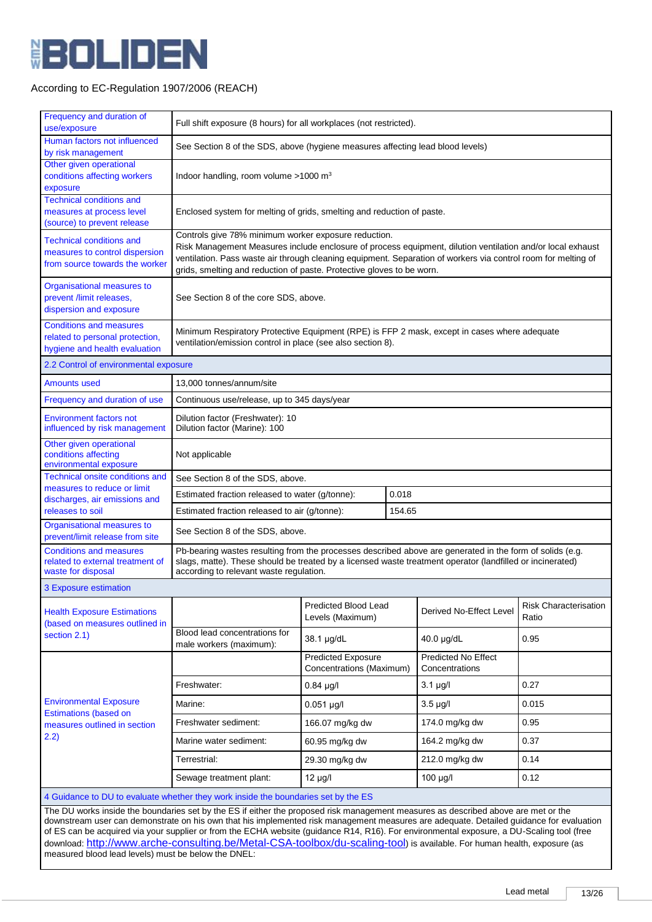

| Frequency and duration of<br>use/exposure                                                                                          | Full shift exposure (8 hours) for all workplaces (not restricted).                                                                                                                                                                                                                                                                                                                                               |                                                       |  |                                              |                                       |
|------------------------------------------------------------------------------------------------------------------------------------|------------------------------------------------------------------------------------------------------------------------------------------------------------------------------------------------------------------------------------------------------------------------------------------------------------------------------------------------------------------------------------------------------------------|-------------------------------------------------------|--|----------------------------------------------|---------------------------------------|
| Human factors not influenced<br>by risk management                                                                                 | See Section 8 of the SDS, above (hygiene measures affecting lead blood levels)                                                                                                                                                                                                                                                                                                                                   |                                                       |  |                                              |                                       |
| Other given operational<br>conditions affecting workers<br>exposure                                                                | Indoor handling, room volume $>1000$ m <sup>3</sup>                                                                                                                                                                                                                                                                                                                                                              |                                                       |  |                                              |                                       |
| <b>Technical conditions and</b><br>measures at process level<br>(source) to prevent release                                        | Enclosed system for melting of grids, smelting and reduction of paste.                                                                                                                                                                                                                                                                                                                                           |                                                       |  |                                              |                                       |
| <b>Technical conditions and</b><br>measures to control dispersion<br>from source towards the worker                                | Controls give 78% minimum worker exposure reduction.<br>Risk Management Measures include enclosure of process equipment, dilution ventilation and/or local exhaust<br>ventilation. Pass waste air through cleaning equipment. Separation of workers via control room for melting of<br>grids, smelting and reduction of paste. Protective gloves to be worn.                                                     |                                                       |  |                                              |                                       |
| Organisational measures to<br>prevent /limit releases,<br>dispersion and exposure                                                  | See Section 8 of the core SDS, above.                                                                                                                                                                                                                                                                                                                                                                            |                                                       |  |                                              |                                       |
| <b>Conditions and measures</b><br>related to personal protection,<br>hygiene and health evaluation                                 | Minimum Respiratory Protective Equipment (RPE) is FFP 2 mask, except in cases where adequate<br>ventilation/emission control in place (see also section 8).                                                                                                                                                                                                                                                      |                                                       |  |                                              |                                       |
| 2.2 Control of environmental exposure                                                                                              |                                                                                                                                                                                                                                                                                                                                                                                                                  |                                                       |  |                                              |                                       |
| <b>Amounts used</b>                                                                                                                | 13,000 tonnes/annum/site                                                                                                                                                                                                                                                                                                                                                                                         |                                                       |  |                                              |                                       |
| Frequency and duration of use                                                                                                      | Continuous use/release, up to 345 days/year                                                                                                                                                                                                                                                                                                                                                                      |                                                       |  |                                              |                                       |
| <b>Environment factors not</b><br>influenced by risk management                                                                    | Dilution factor (Marine): 100                                                                                                                                                                                                                                                                                                                                                                                    | Dilution factor (Freshwater): 10                      |  |                                              |                                       |
| Other given operational<br>conditions affecting<br>environmental exposure                                                          | Not applicable                                                                                                                                                                                                                                                                                                                                                                                                   |                                                       |  |                                              |                                       |
| Technical onsite conditions and                                                                                                    | See Section 8 of the SDS, above.                                                                                                                                                                                                                                                                                                                                                                                 |                                                       |  |                                              |                                       |
| measures to reduce or limit<br>discharges, air emissions and                                                                       | Estimated fraction released to water (g/tonne):<br>0.018                                                                                                                                                                                                                                                                                                                                                         |                                                       |  |                                              |                                       |
| releases to soil                                                                                                                   | Estimated fraction released to air (g/tonne):<br>154.65                                                                                                                                                                                                                                                                                                                                                          |                                                       |  |                                              |                                       |
| Organisational measures to<br>prevent/limit release from site                                                                      | See Section 8 of the SDS, above.                                                                                                                                                                                                                                                                                                                                                                                 |                                                       |  |                                              |                                       |
| <b>Conditions and measures</b><br>related to external treatment of<br>waste for disposal                                           | Pb-bearing wastes resulting from the processes described above are generated in the form of solids (e.g.<br>slags, matte). These should be treated by a licensed waste treatment operator (landfilled or incinerated)<br>according to relevant waste regulation.                                                                                                                                                 |                                                       |  |                                              |                                       |
| 3 Exposure estimation                                                                                                              |                                                                                                                                                                                                                                                                                                                                                                                                                  |                                                       |  |                                              |                                       |
| <b>Health Exposure Estimations</b><br>(based on measures outlined in                                                               |                                                                                                                                                                                                                                                                                                                                                                                                                  | <b>Predicted Blood Lead</b><br>Levels (Maximum)       |  | Derived No-Effect Level                      | <b>Risk Characterisation</b><br>Ratio |
| section 2.1)                                                                                                                       | Blood lead concentrations for<br>male workers (maximum):                                                                                                                                                                                                                                                                                                                                                         | 38.1 µg/dL                                            |  | 40.0 µg/dL                                   | 0.95                                  |
|                                                                                                                                    |                                                                                                                                                                                                                                                                                                                                                                                                                  | <b>Predicted Exposure</b><br>Concentrations (Maximum) |  | <b>Predicted No Effect</b><br>Concentrations |                                       |
|                                                                                                                                    | Freshwater:                                                                                                                                                                                                                                                                                                                                                                                                      | $0.84 \mu g/l$                                        |  | $3.1 \mu q/l$                                | 0.27                                  |
| <b>Environmental Exposure</b>                                                                                                      | Marine:                                                                                                                                                                                                                                                                                                                                                                                                          | $0.051$ µg/l                                          |  | $3.5 \mu g/l$                                | 0.015                                 |
| <b>Estimations (based on</b><br>measures outlined in section                                                                       | Freshwater sediment:                                                                                                                                                                                                                                                                                                                                                                                             | 166.07 mg/kg dw                                       |  | 174.0 mg/kg dw                               | 0.95                                  |
| 2.2)                                                                                                                               | Marine water sediment:                                                                                                                                                                                                                                                                                                                                                                                           | 60.95 mg/kg dw                                        |  | 164.2 mg/kg dw                               | 0.37                                  |
|                                                                                                                                    | Terrestrial:                                                                                                                                                                                                                                                                                                                                                                                                     | 29.30 mg/kg dw                                        |  | 212.0 mg/kg dw                               | 0.14                                  |
|                                                                                                                                    | Sewage treatment plant:                                                                                                                                                                                                                                                                                                                                                                                          | $12 \mu g/l$                                          |  | 100 µg/l                                     | 0.12                                  |
|                                                                                                                                    | 4 Guidance to DU to evaluate whether they work inside the boundaries set by the ES                                                                                                                                                                                                                                                                                                                               |                                                       |  |                                              |                                       |
| The DU works inside the boundaries set by the ES if either the proposed risk management measures as described above are met or the |                                                                                                                                                                                                                                                                                                                                                                                                                  |                                                       |  |                                              |                                       |
|                                                                                                                                    | downstream user can demonstrate on his own that his implemented risk management measures are adequate. Detailed guidance for evaluation<br>of ES can be acquired via your supplier or from the ECHA website (guidance R14, R16). For environmental exposure, a DU-Scaling tool (free<br>download: http://www.arche-consulting.be/Metal-CSA-toolbox/du-scaling-tool) is available. For human health, exposure (as |                                                       |  |                                              |                                       |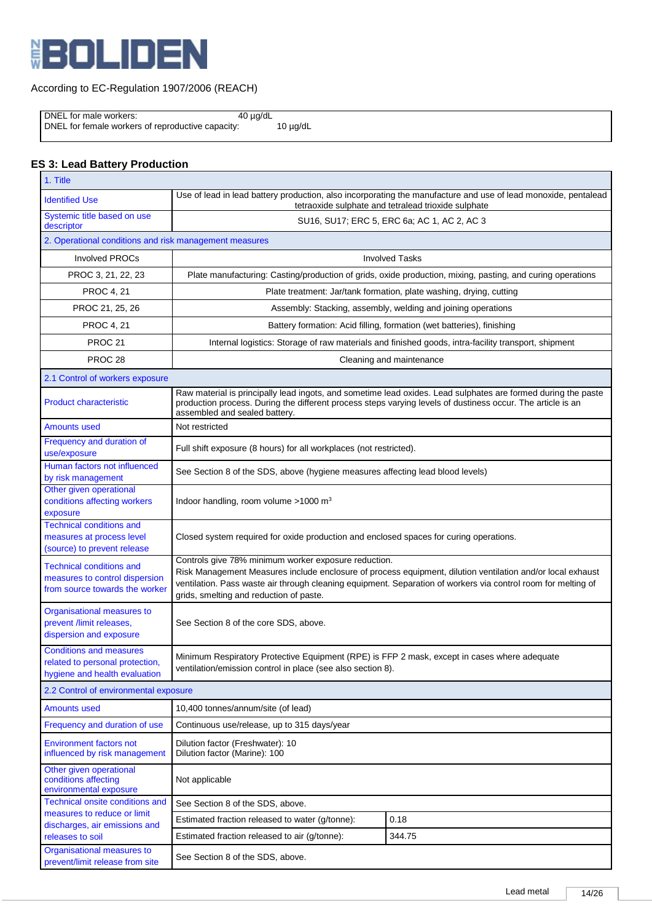

DNEL for male workers: 40 µg/dL DNEL for female workers of reproductive capacity: 10 µg/dL

# **ES 3: Lead Battery Production**

| 1. Title                                                                                            |                                                                                                                                                                                                                                                                                                                                |                                                                                                               |  |
|-----------------------------------------------------------------------------------------------------|--------------------------------------------------------------------------------------------------------------------------------------------------------------------------------------------------------------------------------------------------------------------------------------------------------------------------------|---------------------------------------------------------------------------------------------------------------|--|
| <b>Identified Use</b>                                                                               | Use of lead in lead battery production, also incorporating the manufacture and use of lead monoxide, pentalead<br>tetraoxide sulphate and tetralead trioxide sulphate                                                                                                                                                          |                                                                                                               |  |
| Systemic title based on use<br>descriptor                                                           | SU16, SU17; ERC 5, ERC 6a; AC 1, AC 2, AC 3                                                                                                                                                                                                                                                                                    |                                                                                                               |  |
| 2. Operational conditions and risk management measures                                              |                                                                                                                                                                                                                                                                                                                                |                                                                                                               |  |
| <b>Involved PROCs</b>                                                                               |                                                                                                                                                                                                                                                                                                                                | <b>Involved Tasks</b>                                                                                         |  |
| PROC 3, 21, 22, 23                                                                                  | Plate manufacturing: Casting/production of grids, oxide production, mixing, pasting, and curing operations                                                                                                                                                                                                                     |                                                                                                               |  |
| <b>PROC 4, 21</b>                                                                                   | Plate treatment: Jar/tank formation, plate washing, drying, cutting                                                                                                                                                                                                                                                            |                                                                                                               |  |
| PROC 21, 25, 26                                                                                     | Assembly: Stacking, assembly, welding and joining operations                                                                                                                                                                                                                                                                   |                                                                                                               |  |
| <b>PROC 4, 21</b>                                                                                   |                                                                                                                                                                                                                                                                                                                                | Battery formation: Acid filling, formation (wet batteries), finishing                                         |  |
| PROC <sub>21</sub>                                                                                  |                                                                                                                                                                                                                                                                                                                                | Internal logistics: Storage of raw materials and finished goods, intra-facility transport, shipment           |  |
| PROC <sub>28</sub>                                                                                  |                                                                                                                                                                                                                                                                                                                                | Cleaning and maintenance                                                                                      |  |
| 2.1 Control of workers exposure                                                                     |                                                                                                                                                                                                                                                                                                                                |                                                                                                               |  |
| <b>Product characteristic</b>                                                                       | production process. During the different process steps varying levels of dustiness occur. The article is an<br>assembled and sealed battery.                                                                                                                                                                                   | Raw material is principally lead ingots, and sometime lead oxides. Lead sulphates are formed during the paste |  |
| Amounts used                                                                                        | Not restricted                                                                                                                                                                                                                                                                                                                 |                                                                                                               |  |
| Frequency and duration of<br>use/exposure                                                           | Full shift exposure (8 hours) for all workplaces (not restricted).                                                                                                                                                                                                                                                             |                                                                                                               |  |
| Human factors not influenced<br>by risk management                                                  | See Section 8 of the SDS, above (hygiene measures affecting lead blood levels)                                                                                                                                                                                                                                                 |                                                                                                               |  |
| Other given operational<br>conditions affecting workers<br>exposure                                 | Indoor handling, room volume $>1000$ m <sup>3</sup>                                                                                                                                                                                                                                                                            |                                                                                                               |  |
| <b>Technical conditions and</b><br>measures at process level<br>(source) to prevent release         | Closed system required for oxide production and enclosed spaces for curing operations.                                                                                                                                                                                                                                         |                                                                                                               |  |
| <b>Technical conditions and</b><br>measures to control dispersion<br>from source towards the worker | Controls give 78% minimum worker exposure reduction.<br>Risk Management Measures include enclosure of process equipment, dilution ventilation and/or local exhaust<br>ventilation. Pass waste air through cleaning equipment. Separation of workers via control room for melting of<br>grids, smelting and reduction of paste. |                                                                                                               |  |
| Organisational measures to<br>prevent /limit releases,<br>dispersion and exposure                   | See Section 8 of the core SDS, above.                                                                                                                                                                                                                                                                                          |                                                                                                               |  |
| <b>Conditions and measures</b><br>related to personal protection,<br>hygiene and health evaluation  | Minimum Respiratory Protective Equipment (RPE) is FFP 2 mask, except in cases where adequate<br>ventilation/emission control in place (see also section 8).                                                                                                                                                                    |                                                                                                               |  |
| 2.2 Control of environmental exposure                                                               |                                                                                                                                                                                                                                                                                                                                |                                                                                                               |  |
| <b>Amounts used</b>                                                                                 | 10,400 tonnes/annum/site (of lead)                                                                                                                                                                                                                                                                                             |                                                                                                               |  |
| Frequency and duration of use                                                                       | Continuous use/release, up to 315 days/year                                                                                                                                                                                                                                                                                    |                                                                                                               |  |
| <b>Environment factors not</b><br>influenced by risk management                                     | Dilution factor (Freshwater): 10<br>Dilution factor (Marine): 100                                                                                                                                                                                                                                                              |                                                                                                               |  |
| Other given operational<br>conditions affecting<br>environmental exposure                           | Not applicable                                                                                                                                                                                                                                                                                                                 |                                                                                                               |  |
| <b>Technical onsite conditions and</b>                                                              | See Section 8 of the SDS, above.                                                                                                                                                                                                                                                                                               |                                                                                                               |  |
| measures to reduce or limit<br>discharges, air emissions and                                        | 0.18<br>Estimated fraction released to water (g/tonne):                                                                                                                                                                                                                                                                        |                                                                                                               |  |
| releases to soil                                                                                    | Estimated fraction released to air (g/tonne):<br>344.75                                                                                                                                                                                                                                                                        |                                                                                                               |  |
| Organisational measures to<br>prevent/limit release from site                                       | See Section 8 of the SDS, above.                                                                                                                                                                                                                                                                                               |                                                                                                               |  |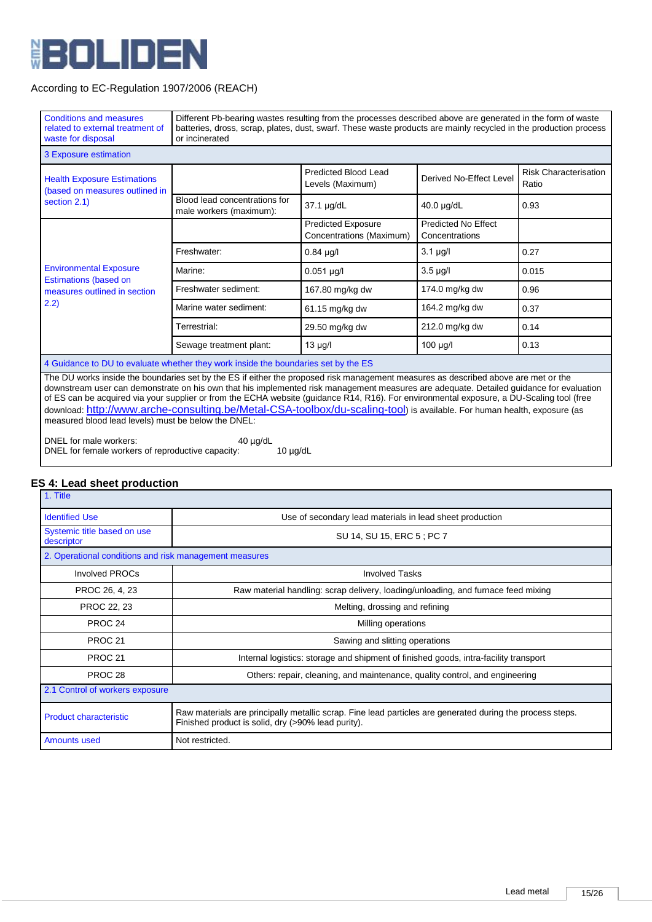

| <b>Conditions and measures</b><br>related to external treatment of<br>waste for disposal | Different Pb-bearing wastes resulting from the processes described above are generated in the form of waste<br>batteries, dross, scrap, plates, dust, swarf. These waste products are mainly recycled in the production process<br>or incinerated                                                                                                                                                                                                                                                                                                      |                                                       |                                              |                                       |
|------------------------------------------------------------------------------------------|--------------------------------------------------------------------------------------------------------------------------------------------------------------------------------------------------------------------------------------------------------------------------------------------------------------------------------------------------------------------------------------------------------------------------------------------------------------------------------------------------------------------------------------------------------|-------------------------------------------------------|----------------------------------------------|---------------------------------------|
| 3 Exposure estimation                                                                    |                                                                                                                                                                                                                                                                                                                                                                                                                                                                                                                                                        |                                                       |                                              |                                       |
| <b>Health Exposure Estimations</b><br>(based on measures outlined in                     |                                                                                                                                                                                                                                                                                                                                                                                                                                                                                                                                                        | Predicted Blood Lead<br>Levels (Maximum)              | Derived No-Effect Level                      | <b>Risk Characterisation</b><br>Ratio |
| section 2.1)                                                                             | Blood lead concentrations for<br>male workers (maximum):                                                                                                                                                                                                                                                                                                                                                                                                                                                                                               | 37.1 µg/dL                                            | 40.0 µg/dL                                   | 0.93                                  |
|                                                                                          |                                                                                                                                                                                                                                                                                                                                                                                                                                                                                                                                                        | <b>Predicted Exposure</b><br>Concentrations (Maximum) | <b>Predicted No Effect</b><br>Concentrations |                                       |
|                                                                                          | Freshwater:                                                                                                                                                                                                                                                                                                                                                                                                                                                                                                                                            | $0.84$ µg/l                                           | $3.1 \mu g/l$                                | 0.27                                  |
| <b>Environmental Exposure</b><br><b>Estimations (based on</b>                            | Marine:                                                                                                                                                                                                                                                                                                                                                                                                                                                                                                                                                | $0.051$ µg/l                                          | $3.5 \mu g/l$                                | 0.015                                 |
| measures outlined in section                                                             | Freshwater sediment:                                                                                                                                                                                                                                                                                                                                                                                                                                                                                                                                   | 167.80 mg/kg dw                                       | 174.0 mg/kg dw                               | 0.96                                  |
| (2.2)                                                                                    | Marine water sediment:                                                                                                                                                                                                                                                                                                                                                                                                                                                                                                                                 | 61.15 mg/kg dw                                        | 164.2 mg/kg dw                               | 0.37                                  |
|                                                                                          | Terrestrial:                                                                                                                                                                                                                                                                                                                                                                                                                                                                                                                                           | 29.50 mg/kg dw                                        | 212.0 mg/kg dw                               | 0.14                                  |
|                                                                                          | Sewage treatment plant:                                                                                                                                                                                                                                                                                                                                                                                                                                                                                                                                | 13 µg/l                                               | 100 µg/l                                     | 0.13                                  |
| 4 Guidance to DU to evaluate whether they work inside the boundaries set by the ES       |                                                                                                                                                                                                                                                                                                                                                                                                                                                                                                                                                        |                                                       |                                              |                                       |
| measured blood lead levels) must be below the DNEL:                                      | The DU works inside the boundaries set by the ES if either the proposed risk management measures as described above are met or the<br>downstream user can demonstrate on his own that his implemented risk management measures are adequate. Detailed guidance for evaluation<br>of ES can be acquired via your supplier or from the ECHA website (guidance R14, R16). For environmental exposure, a DU-Scaling tool (free<br>download: http://www.arche-consulting.be/Metal-CSA-toolbox/du-scaling-tool) is available. For human health, exposure (as |                                                       |                                              |                                       |

DNEL for male workers: 40 µg/dL DNEL for female workers of reproductive capacity: 10 µg/dL

# **ES 4: Lead sheet production**

| 1. Title                                                                                                                                                                                         |                                                                                   |  |  |  |
|--------------------------------------------------------------------------------------------------------------------------------------------------------------------------------------------------|-----------------------------------------------------------------------------------|--|--|--|
| <b>Identified Use</b>                                                                                                                                                                            | Use of secondary lead materials in lead sheet production                          |  |  |  |
| Systemic title based on use<br>descriptor                                                                                                                                                        | SU 14, SU 15, ERC 5; PC 7                                                         |  |  |  |
| 2. Operational conditions and risk management measures                                                                                                                                           |                                                                                   |  |  |  |
| Involved PROCs                                                                                                                                                                                   | <b>Involved Tasks</b>                                                             |  |  |  |
| PROC 26, 4, 23                                                                                                                                                                                   | Raw material handling: scrap delivery, loading/unloading, and furnace feed mixing |  |  |  |
| PROC 22, 23                                                                                                                                                                                      | Melting, drossing and refining                                                    |  |  |  |
| PROC <sub>24</sub>                                                                                                                                                                               | Milling operations                                                                |  |  |  |
| PROC <sub>21</sub>                                                                                                                                                                               | Sawing and slitting operations                                                    |  |  |  |
| PROC <sub>21</sub><br>Internal logistics: storage and shipment of finished goods, intra-facility transport                                                                                       |                                                                                   |  |  |  |
| PROC <sub>28</sub>                                                                                                                                                                               | Others: repair, cleaning, and maintenance, quality control, and engineering       |  |  |  |
| 2.1 Control of workers exposure                                                                                                                                                                  |                                                                                   |  |  |  |
| Raw materials are principally metallic scrap. Fine lead particles are generated during the process steps.<br><b>Product characteristic</b><br>Finished product is solid, dry (>90% lead purity). |                                                                                   |  |  |  |
| <b>Amounts used</b><br>Not restricted.                                                                                                                                                           |                                                                                   |  |  |  |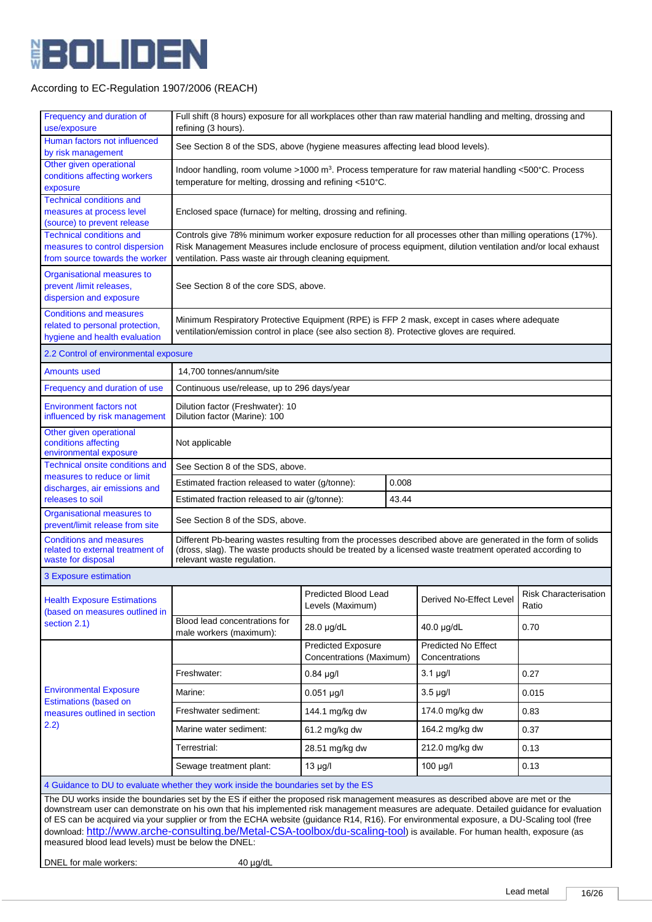

| Frequency and duration of<br>use/exposure                                                                                                                                                                                                                                                                                                                                                                                                                                                                                                                                                                                                           | Full shift (8 hours) exposure for all workplaces other than raw material handling and melting, drossing and<br>refining (3 hours).                                                                                                                                                  |                                                              |       |                                       |                                       |
|-----------------------------------------------------------------------------------------------------------------------------------------------------------------------------------------------------------------------------------------------------------------------------------------------------------------------------------------------------------------------------------------------------------------------------------------------------------------------------------------------------------------------------------------------------------------------------------------------------------------------------------------------------|-------------------------------------------------------------------------------------------------------------------------------------------------------------------------------------------------------------------------------------------------------------------------------------|--------------------------------------------------------------|-------|---------------------------------------|---------------------------------------|
| Human factors not influenced<br>by risk management                                                                                                                                                                                                                                                                                                                                                                                                                                                                                                                                                                                                  | See Section 8 of the SDS, above (hygiene measures affecting lead blood levels).                                                                                                                                                                                                     |                                                              |       |                                       |                                       |
| Other given operational<br>conditions affecting workers<br>exposure                                                                                                                                                                                                                                                                                                                                                                                                                                                                                                                                                                                 | Indoor handling, room volume >1000 m <sup>3</sup> . Process temperature for raw material handling <500°C. Process<br>temperature for melting, drossing and refining <510°C.                                                                                                         |                                                              |       |                                       |                                       |
| <b>Technical conditions and</b><br>measures at process level<br>(source) to prevent release                                                                                                                                                                                                                                                                                                                                                                                                                                                                                                                                                         |                                                                                                                                                                                                                                                                                     | Enclosed space (furnace) for melting, drossing and refining. |       |                                       |                                       |
| <b>Technical conditions and</b><br>measures to control dispersion<br>from source towards the worker                                                                                                                                                                                                                                                                                                                                                                                                                                                                                                                                                 | Controls give 78% minimum worker exposure reduction for all processes other than milling operations (17%).<br>Risk Management Measures include enclosure of process equipment, dilution ventilation and/or local exhaust<br>ventilation. Pass waste air through cleaning equipment. |                                                              |       |                                       |                                       |
| Organisational measures to<br>prevent /limit releases,<br>dispersion and exposure                                                                                                                                                                                                                                                                                                                                                                                                                                                                                                                                                                   | See Section 8 of the core SDS, above.                                                                                                                                                                                                                                               |                                                              |       |                                       |                                       |
| <b>Conditions and measures</b><br>related to personal protection,<br>hygiene and health evaluation                                                                                                                                                                                                                                                                                                                                                                                                                                                                                                                                                  | Minimum Respiratory Protective Equipment (RPE) is FFP 2 mask, except in cases where adequate<br>ventilation/emission control in place (see also section 8). Protective gloves are required.                                                                                         |                                                              |       |                                       |                                       |
| 2.2 Control of environmental exposure                                                                                                                                                                                                                                                                                                                                                                                                                                                                                                                                                                                                               |                                                                                                                                                                                                                                                                                     |                                                              |       |                                       |                                       |
| <b>Amounts used</b>                                                                                                                                                                                                                                                                                                                                                                                                                                                                                                                                                                                                                                 | 14,700 tonnes/annum/site                                                                                                                                                                                                                                                            |                                                              |       |                                       |                                       |
| Frequency and duration of use                                                                                                                                                                                                                                                                                                                                                                                                                                                                                                                                                                                                                       | Continuous use/release, up to 296 days/year                                                                                                                                                                                                                                         |                                                              |       |                                       |                                       |
| <b>Environment factors not</b><br>influenced by risk management                                                                                                                                                                                                                                                                                                                                                                                                                                                                                                                                                                                     | Dilution factor (Freshwater): 10<br>Dilution factor (Marine): 100                                                                                                                                                                                                                   |                                                              |       |                                       |                                       |
| Other given operational<br>conditions affecting<br>environmental exposure                                                                                                                                                                                                                                                                                                                                                                                                                                                                                                                                                                           | Not applicable                                                                                                                                                                                                                                                                      |                                                              |       |                                       |                                       |
| Technical onsite conditions and                                                                                                                                                                                                                                                                                                                                                                                                                                                                                                                                                                                                                     | See Section 8 of the SDS, above.                                                                                                                                                                                                                                                    |                                                              |       |                                       |                                       |
| measures to reduce or limit<br>discharges, air emissions and                                                                                                                                                                                                                                                                                                                                                                                                                                                                                                                                                                                        | 0.008<br>Estimated fraction released to water (g/tonne):                                                                                                                                                                                                                            |                                                              |       |                                       |                                       |
| releases to soil                                                                                                                                                                                                                                                                                                                                                                                                                                                                                                                                                                                                                                    | Estimated fraction released to air (g/tonne):                                                                                                                                                                                                                                       |                                                              | 43.44 |                                       |                                       |
| Organisational measures to<br>prevent/limit release from site                                                                                                                                                                                                                                                                                                                                                                                                                                                                                                                                                                                       | See Section 8 of the SDS, above.                                                                                                                                                                                                                                                    |                                                              |       |                                       |                                       |
| <b>Conditions and measures</b><br>related to external treatment of<br>waste for disposal                                                                                                                                                                                                                                                                                                                                                                                                                                                                                                                                                            | Different Pb-bearing wastes resulting from the processes described above are generated in the form of solids<br>(dross, slag). The waste products should be treated by a licensed waste treatment operated according to<br>relevant waste regulation.                               |                                                              |       |                                       |                                       |
| 3 Exposure estimation                                                                                                                                                                                                                                                                                                                                                                                                                                                                                                                                                                                                                               |                                                                                                                                                                                                                                                                                     |                                                              |       |                                       |                                       |
| <b>Health Exposure Estimations</b><br>(based on measures outlined in                                                                                                                                                                                                                                                                                                                                                                                                                                                                                                                                                                                |                                                                                                                                                                                                                                                                                     | <b>Predicted Blood Lead</b><br>Levels (Maximum)              |       | Derived No-Effect Level               | <b>Risk Characterisation</b><br>Ratio |
| section 2.1)                                                                                                                                                                                                                                                                                                                                                                                                                                                                                                                                                                                                                                        | Blood lead concentrations for<br>male workers (maximum):                                                                                                                                                                                                                            | 28.0 µg/dL                                                   |       | 40.0 µg/dL                            | 0.70                                  |
|                                                                                                                                                                                                                                                                                                                                                                                                                                                                                                                                                                                                                                                     |                                                                                                                                                                                                                                                                                     | <b>Predicted Exposure</b><br>Concentrations (Maximum)        |       | Predicted No Effect<br>Concentrations |                                       |
|                                                                                                                                                                                                                                                                                                                                                                                                                                                                                                                                                                                                                                                     | Freshwater:                                                                                                                                                                                                                                                                         | $0.84$ µg/l                                                  |       | $3.1 \mu g/l$                         | 0.27                                  |
| <b>Environmental Exposure</b>                                                                                                                                                                                                                                                                                                                                                                                                                                                                                                                                                                                                                       | Marine:                                                                                                                                                                                                                                                                             | $0.051 \mu g/l$                                              |       | $3.5 \mu g/l$                         | 0.015                                 |
| <b>Estimations (based on</b><br>measures outlined in section                                                                                                                                                                                                                                                                                                                                                                                                                                                                                                                                                                                        | Freshwater sediment:                                                                                                                                                                                                                                                                | 144.1 mg/kg dw                                               |       | 174.0 mg/kg dw                        | 0.83                                  |
| 2.2)                                                                                                                                                                                                                                                                                                                                                                                                                                                                                                                                                                                                                                                | Marine water sediment:                                                                                                                                                                                                                                                              | 61.2 mg/kg dw                                                |       | 164.2 mg/kg dw                        | 0.37                                  |
|                                                                                                                                                                                                                                                                                                                                                                                                                                                                                                                                                                                                                                                     | Terrestrial:                                                                                                                                                                                                                                                                        | 28.51 mg/kg dw                                               |       | 212.0 mg/kg dw                        | 0.13                                  |
|                                                                                                                                                                                                                                                                                                                                                                                                                                                                                                                                                                                                                                                     | Sewage treatment plant:                                                                                                                                                                                                                                                             | $13 \mu g/l$                                                 |       | $100 \mu g/l$                         | 0.13                                  |
| 4 Guidance to DU to evaluate whether they work inside the boundaries set by the ES                                                                                                                                                                                                                                                                                                                                                                                                                                                                                                                                                                  |                                                                                                                                                                                                                                                                                     |                                                              |       |                                       |                                       |
| The DU works inside the boundaries set by the ES if either the proposed risk management measures as described above are met or the<br>downstream user can demonstrate on his own that his implemented risk management measures are adequate. Detailed guidance for evaluation<br>of ES can be acquired via your supplier or from the ECHA website (guidance R14, R16). For environmental exposure, a DU-Scaling tool (free<br>download: http://www.arche-consulting.be/Metal-CSA-toolbox/du-scaling-tool) is available. For human health, exposure (as<br>measured blood lead levels) must be below the DNEL:<br>DNEL for male workers:<br>40 µg/dL |                                                                                                                                                                                                                                                                                     |                                                              |       |                                       |                                       |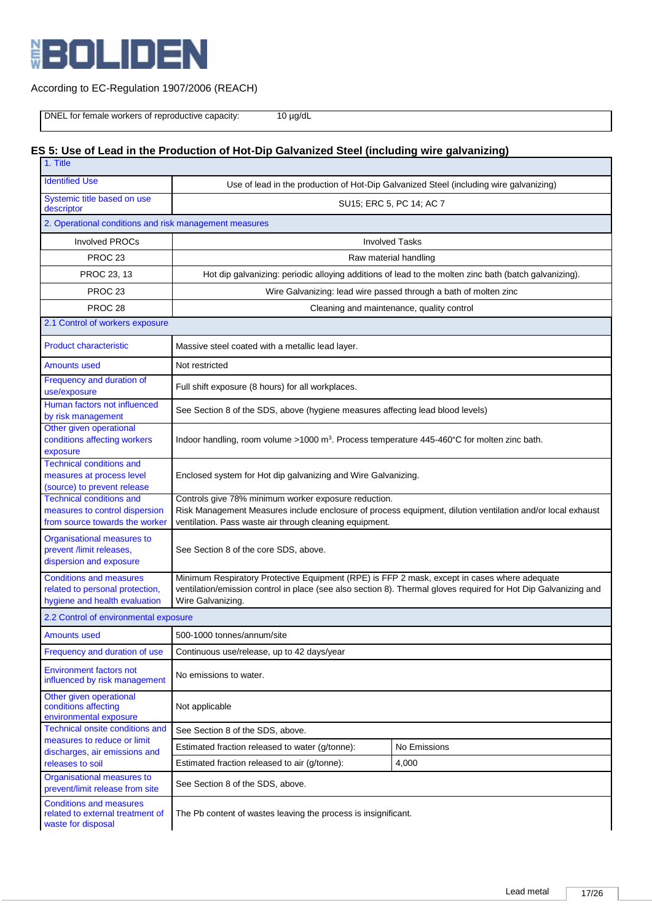

DNEL for female workers of reproductive capacity: 10 µg/dL

# **ES 5: Use of Lead in the Production of Hot-Dip Galvanized Steel (including wire galvanizing)**

| 1. Title                                                                                            |                                                                                                                                                                                                                                      |                                                                                                       |  |  |
|-----------------------------------------------------------------------------------------------------|--------------------------------------------------------------------------------------------------------------------------------------------------------------------------------------------------------------------------------------|-------------------------------------------------------------------------------------------------------|--|--|
| <b>Identified Use</b>                                                                               | Use of lead in the production of Hot-Dip Galvanized Steel (including wire galvanizing)                                                                                                                                               |                                                                                                       |  |  |
| Systemic title based on use<br>descriptor                                                           | SU15; ERC 5, PC 14; AC 7                                                                                                                                                                                                             |                                                                                                       |  |  |
| 2. Operational conditions and risk management measures                                              |                                                                                                                                                                                                                                      |                                                                                                       |  |  |
| <b>Involved PROCs</b>                                                                               | <b>Involved Tasks</b>                                                                                                                                                                                                                |                                                                                                       |  |  |
| PROC <sub>23</sub>                                                                                  |                                                                                                                                                                                                                                      | Raw material handling                                                                                 |  |  |
| PROC 23, 13                                                                                         |                                                                                                                                                                                                                                      | Hot dip galvanizing: periodic alloying additions of lead to the molten zinc bath (batch galvanizing). |  |  |
| PROC <sub>23</sub>                                                                                  |                                                                                                                                                                                                                                      | Wire Galvanizing: lead wire passed through a bath of molten zinc                                      |  |  |
| PROC <sub>28</sub>                                                                                  |                                                                                                                                                                                                                                      | Cleaning and maintenance, quality control                                                             |  |  |
| 2.1 Control of workers exposure                                                                     |                                                                                                                                                                                                                                      |                                                                                                       |  |  |
| <b>Product characteristic</b>                                                                       | Massive steel coated with a metallic lead layer.                                                                                                                                                                                     |                                                                                                       |  |  |
| <b>Amounts used</b>                                                                                 | Not restricted                                                                                                                                                                                                                       |                                                                                                       |  |  |
| Frequency and duration of<br>use/exposure                                                           | Full shift exposure (8 hours) for all workplaces.                                                                                                                                                                                    |                                                                                                       |  |  |
| Human factors not influenced<br>by risk management                                                  | See Section 8 of the SDS, above (hygiene measures affecting lead blood levels)                                                                                                                                                       |                                                                                                       |  |  |
| Other given operational<br>conditions affecting workers<br>exposure                                 | Indoor handling, room volume >1000 m <sup>3</sup> . Process temperature 445-460°C for molten zinc bath.                                                                                                                              |                                                                                                       |  |  |
| <b>Technical conditions and</b><br>measures at process level<br>(source) to prevent release         | Enclosed system for Hot dip galvanizing and Wire Galvanizing.                                                                                                                                                                        |                                                                                                       |  |  |
| <b>Technical conditions and</b><br>measures to control dispersion<br>from source towards the worker | Controls give 78% minimum worker exposure reduction.<br>Risk Management Measures include enclosure of process equipment, dilution ventilation and/or local exhaust<br>ventilation. Pass waste air through cleaning equipment.        |                                                                                                       |  |  |
| Organisational measures to<br>prevent /limit releases,<br>dispersion and exposure                   | See Section 8 of the core SDS, above.                                                                                                                                                                                                |                                                                                                       |  |  |
| <b>Conditions and measures</b><br>related to personal protection,<br>hygiene and health evaluation  | Minimum Respiratory Protective Equipment (RPE) is FFP 2 mask, except in cases where adequate<br>ventilation/emission control in place (see also section 8). Thermal gloves required for Hot Dip Galvanizing and<br>Wire Galvanizing. |                                                                                                       |  |  |
| 2.2 Control of environmental exposure                                                               |                                                                                                                                                                                                                                      |                                                                                                       |  |  |
| <b>Amounts used</b>                                                                                 | 500-1000 tonnes/annum/site                                                                                                                                                                                                           |                                                                                                       |  |  |
| Frequency and duration of use                                                                       | Continuous use/release, up to 42 days/year                                                                                                                                                                                           |                                                                                                       |  |  |
| <b>Environment factors not</b><br>influenced by risk management                                     | No emissions to water.                                                                                                                                                                                                               |                                                                                                       |  |  |
| Other given operational<br>conditions affecting<br>environmental exposure                           | Not applicable                                                                                                                                                                                                                       |                                                                                                       |  |  |
| Technical onsite conditions and<br>measures to reduce or limit                                      | See Section 8 of the SDS, above.                                                                                                                                                                                                     |                                                                                                       |  |  |
| discharges, air emissions and                                                                       | Estimated fraction released to water (g/tonne):                                                                                                                                                                                      | No Emissions                                                                                          |  |  |
| releases to soil                                                                                    | Estimated fraction released to air (g/tonne):                                                                                                                                                                                        | 4,000                                                                                                 |  |  |
| Organisational measures to<br>prevent/limit release from site                                       | See Section 8 of the SDS, above.                                                                                                                                                                                                     |                                                                                                       |  |  |
| <b>Conditions and measures</b><br>related to external treatment of<br>waste for disposal            | The Pb content of wastes leaving the process is insignificant.                                                                                                                                                                       |                                                                                                       |  |  |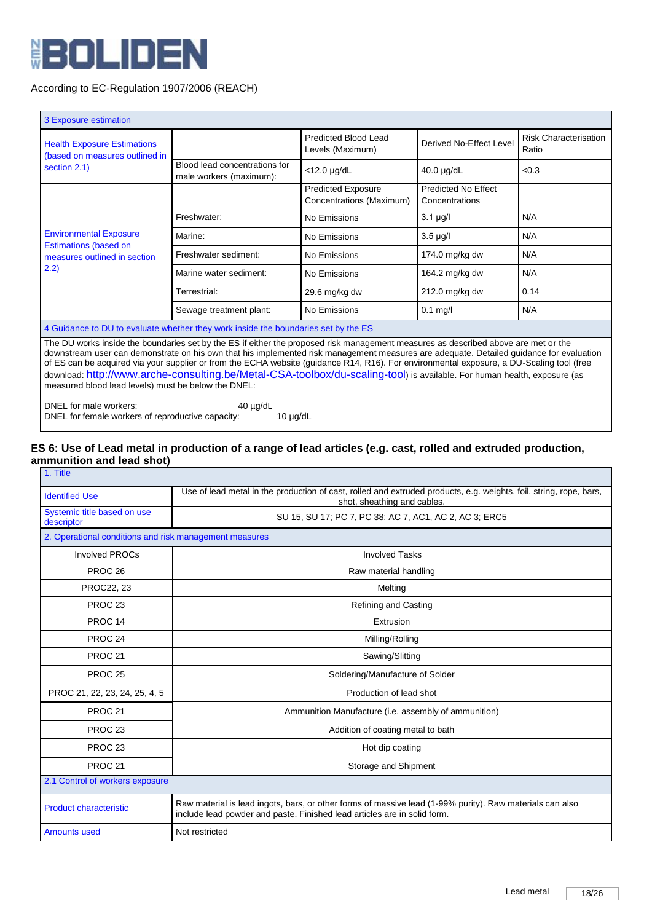

| 3 Exposure estimation                                                                                                                                                                                                                                                                                                                                                                                                                                                                                                                                                                                         |                                                          |                                                       |                                              |                                       |  |
|---------------------------------------------------------------------------------------------------------------------------------------------------------------------------------------------------------------------------------------------------------------------------------------------------------------------------------------------------------------------------------------------------------------------------------------------------------------------------------------------------------------------------------------------------------------------------------------------------------------|----------------------------------------------------------|-------------------------------------------------------|----------------------------------------------|---------------------------------------|--|
| <b>Health Exposure Estimations</b><br>(based on measures outlined in                                                                                                                                                                                                                                                                                                                                                                                                                                                                                                                                          |                                                          | Predicted Blood Lead<br>Levels (Maximum)              | Derived No-Effect Level                      | <b>Risk Characterisation</b><br>Ratio |  |
| section 2.1)                                                                                                                                                                                                                                                                                                                                                                                                                                                                                                                                                                                                  | Blood lead concentrations for<br>male workers (maximum): | $<$ 12.0 $\mu$ g/dL                                   | $40.0 \mu g/dL$                              | < 0.3                                 |  |
|                                                                                                                                                                                                                                                                                                                                                                                                                                                                                                                                                                                                               |                                                          | <b>Predicted Exposure</b><br>Concentrations (Maximum) | <b>Predicted No Effect</b><br>Concentrations |                                       |  |
|                                                                                                                                                                                                                                                                                                                                                                                                                                                                                                                                                                                                               | Freshwater:                                              | No Emissions                                          | $3.1 \mu g/l$                                | N/A                                   |  |
| <b>Environmental Exposure</b><br><b>Estimations (based on</b>                                                                                                                                                                                                                                                                                                                                                                                                                                                                                                                                                 | Marine:                                                  | No Emissions                                          | $3.5 \mu g/l$                                | N/A                                   |  |
| measures outlined in section                                                                                                                                                                                                                                                                                                                                                                                                                                                                                                                                                                                  | Freshwater sediment:                                     | No Emissions                                          | 174.0 mg/kg dw                               | N/A                                   |  |
| 2.2)                                                                                                                                                                                                                                                                                                                                                                                                                                                                                                                                                                                                          | Marine water sediment:                                   | No Emissions                                          | 164.2 mg/kg dw                               | N/A                                   |  |
|                                                                                                                                                                                                                                                                                                                                                                                                                                                                                                                                                                                                               | Terrestrial:                                             | 29.6 mg/kg dw                                         | 212.0 mg/kg dw                               | 0.14                                  |  |
|                                                                                                                                                                                                                                                                                                                                                                                                                                                                                                                                                                                                               | Sewage treatment plant:                                  | No Emissions                                          | $0.1$ mg/l                                   | N/A                                   |  |
| 4 Guidance to DU to evaluate whether they work inside the boundaries set by the ES                                                                                                                                                                                                                                                                                                                                                                                                                                                                                                                            |                                                          |                                                       |                                              |                                       |  |
| The DU works inside the boundaries set by the ES if either the proposed risk management measures as described above are met or the<br>downstream user can demonstrate on his own that his implemented risk management measures are adequate. Detailed guidance for evaluation<br>of ES can be acquired via your supplier or from the ECHA website (guidance R14, R16). For environmental exposure, a DU-Scaling tool (free<br>download: http://www.arche-consulting.be/Metal-CSA-toolbox/du-scaling-tool) is available. For human health, exposure (as<br>measured blood lead levels) must be below the DNEL: |                                                          |                                                       |                                              |                                       |  |

DNEL for male workers: 40 µg/dL DNEL for female workers of reproductive capacity: 10 µg/dL

#### **ES 6: Use of Lead metal in production of a range of lead articles (e.g. cast, rolled and extruded production, ammunition and lead shot)** 1. Title

| <b>Identified Use</b>                                  | Use of lead metal in the production of cast, rolled and extruded products, e.g. weights, foil, string, rope, bars,<br>shot, sheathing and cables.                                    |  |
|--------------------------------------------------------|--------------------------------------------------------------------------------------------------------------------------------------------------------------------------------------|--|
| Systemic title based on use<br>descriptor              | SU 15, SU 17; PC 7, PC 38; AC 7, AC1, AC 2, AC 3; ERC5                                                                                                                               |  |
| 2. Operational conditions and risk management measures |                                                                                                                                                                                      |  |
| <b>Involved PROCs</b>                                  | <b>Involved Tasks</b>                                                                                                                                                                |  |
| PROC <sub>26</sub>                                     | Raw material handling                                                                                                                                                                |  |
| PROC22, 23                                             | Melting                                                                                                                                                                              |  |
| PROC <sub>23</sub>                                     | <b>Refining and Casting</b>                                                                                                                                                          |  |
| PROC <sub>14</sub>                                     | Extrusion                                                                                                                                                                            |  |
| PROC <sub>24</sub>                                     | Milling/Rolling                                                                                                                                                                      |  |
| PROC <sub>21</sub>                                     | Sawing/Slitting                                                                                                                                                                      |  |
| <b>PROC 25</b>                                         | Soldering/Manufacture of Solder                                                                                                                                                      |  |
| PROC 21, 22, 23, 24, 25, 4, 5                          | Production of lead shot                                                                                                                                                              |  |
| PROC <sub>21</sub>                                     | Ammunition Manufacture (i.e. assembly of ammunition)                                                                                                                                 |  |
| PROC <sub>23</sub>                                     | Addition of coating metal to bath                                                                                                                                                    |  |
| PROC <sub>23</sub>                                     | Hot dip coating                                                                                                                                                                      |  |
| PROC <sub>21</sub>                                     | Storage and Shipment                                                                                                                                                                 |  |
| 2.1 Control of workers exposure                        |                                                                                                                                                                                      |  |
| <b>Product characteristic</b>                          | Raw material is lead ingots, bars, or other forms of massive lead (1-99% purity). Raw materials can also<br>include lead powder and paste. Finished lead articles are in solid form. |  |
| <b>Amounts used</b>                                    | Not restricted                                                                                                                                                                       |  |
|                                                        |                                                                                                                                                                                      |  |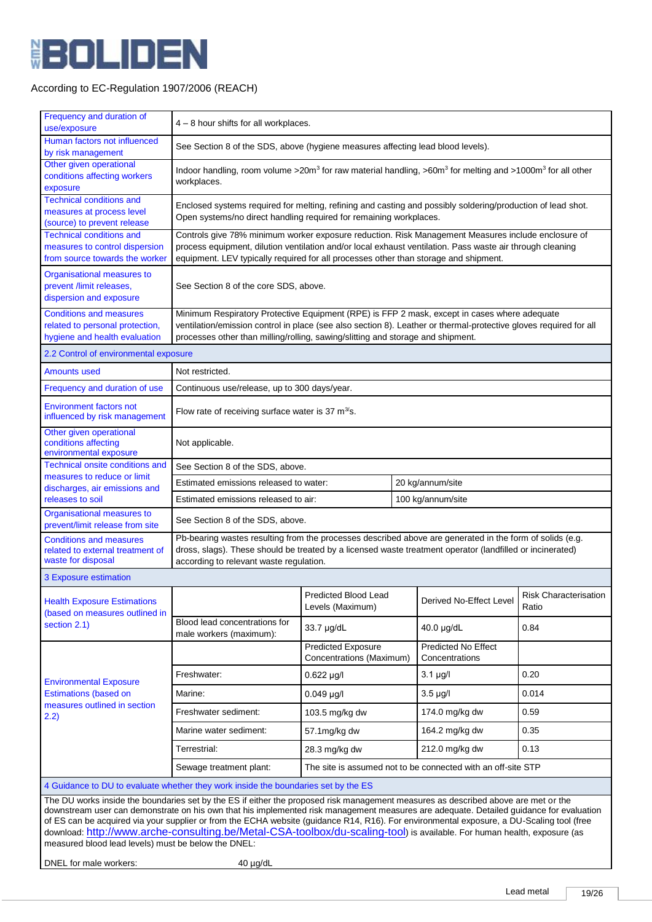

| Frequency and duration of<br>use/exposure                                                                                                                                                                                                                                                                                                                                                                                                                                                                                                                                                                                                           | 4 - 8 hour shifts for all workplaces.                                                                                                                                                                                                                                                                   |                                                            |  |                                                              |                                       |  |
|-----------------------------------------------------------------------------------------------------------------------------------------------------------------------------------------------------------------------------------------------------------------------------------------------------------------------------------------------------------------------------------------------------------------------------------------------------------------------------------------------------------------------------------------------------------------------------------------------------------------------------------------------------|---------------------------------------------------------------------------------------------------------------------------------------------------------------------------------------------------------------------------------------------------------------------------------------------------------|------------------------------------------------------------|--|--------------------------------------------------------------|---------------------------------------|--|
| Human factors not influenced<br>by risk management                                                                                                                                                                                                                                                                                                                                                                                                                                                                                                                                                                                                  | See Section 8 of the SDS, above (hygiene measures affecting lead blood levels).                                                                                                                                                                                                                         |                                                            |  |                                                              |                                       |  |
| Other given operational<br>conditions affecting workers<br>exposure                                                                                                                                                                                                                                                                                                                                                                                                                                                                                                                                                                                 | Indoor handling, room volume >20m <sup>3</sup> for raw material handling, >60m <sup>3</sup> for melting and >1000m <sup>3</sup> for all other<br>workplaces.                                                                                                                                            |                                                            |  |                                                              |                                       |  |
| <b>Technical conditions and</b><br>measures at process level<br>(source) to prevent release                                                                                                                                                                                                                                                                                                                                                                                                                                                                                                                                                         | Enclosed systems required for melting, refining and casting and possibly soldering/production of lead shot.<br>Open systems/no direct handling required for remaining workplaces.                                                                                                                       |                                                            |  |                                                              |                                       |  |
| <b>Technical conditions and</b><br>measures to control dispersion<br>from source towards the worker                                                                                                                                                                                                                                                                                                                                                                                                                                                                                                                                                 | Controls give 78% minimum worker exposure reduction. Risk Management Measures include enclosure of<br>process equipment, dilution ventilation and/or local exhaust ventilation. Pass waste air through cleaning<br>equipment. LEV typically required for all processes other than storage and shipment. |                                                            |  |                                                              |                                       |  |
| Organisational measures to<br>prevent /limit releases,<br>dispersion and exposure                                                                                                                                                                                                                                                                                                                                                                                                                                                                                                                                                                   | See Section 8 of the core SDS, above.                                                                                                                                                                                                                                                                   |                                                            |  |                                                              |                                       |  |
| <b>Conditions and measures</b><br>related to personal protection,<br>hygiene and health evaluation                                                                                                                                                                                                                                                                                                                                                                                                                                                                                                                                                  | Minimum Respiratory Protective Equipment (RPE) is FFP 2 mask, except in cases where adequate<br>ventilation/emission control in place (see also section 8). Leather or thermal-protective gloves required for all<br>processes other than milling/rolling, sawing/slitting and storage and shipment.    |                                                            |  |                                                              |                                       |  |
| 2.2 Control of environmental exposure                                                                                                                                                                                                                                                                                                                                                                                                                                                                                                                                                                                                               |                                                                                                                                                                                                                                                                                                         |                                                            |  |                                                              |                                       |  |
| <b>Amounts used</b>                                                                                                                                                                                                                                                                                                                                                                                                                                                                                                                                                                                                                                 | Not restricted.                                                                                                                                                                                                                                                                                         |                                                            |  |                                                              |                                       |  |
| Frequency and duration of use                                                                                                                                                                                                                                                                                                                                                                                                                                                                                                                                                                                                                       | Continuous use/release, up to 300 days/year.                                                                                                                                                                                                                                                            |                                                            |  |                                                              |                                       |  |
| <b>Environment factors not</b><br>influenced by risk management                                                                                                                                                                                                                                                                                                                                                                                                                                                                                                                                                                                     | Flow rate of receiving surface water is 37 $m^3$ 's.                                                                                                                                                                                                                                                    |                                                            |  |                                                              |                                       |  |
| Other given operational<br>conditions affecting<br>environmental exposure                                                                                                                                                                                                                                                                                                                                                                                                                                                                                                                                                                           | Not applicable.                                                                                                                                                                                                                                                                                         |                                                            |  |                                                              |                                       |  |
| Technical onsite conditions and                                                                                                                                                                                                                                                                                                                                                                                                                                                                                                                                                                                                                     | See Section 8 of the SDS, above.                                                                                                                                                                                                                                                                        |                                                            |  |                                                              |                                       |  |
| measures to reduce or limit<br>discharges, air emissions and                                                                                                                                                                                                                                                                                                                                                                                                                                                                                                                                                                                        |                                                                                                                                                                                                                                                                                                         | 20 kg/annum/site<br>Estimated emissions released to water: |  |                                                              |                                       |  |
| releases to soil                                                                                                                                                                                                                                                                                                                                                                                                                                                                                                                                                                                                                                    | Estimated emissions released to air:                                                                                                                                                                                                                                                                    | 100 kg/annum/site                                          |  |                                                              |                                       |  |
| Organisational measures to<br>prevent/limit release from site                                                                                                                                                                                                                                                                                                                                                                                                                                                                                                                                                                                       | See Section 8 of the SDS, above.                                                                                                                                                                                                                                                                        |                                                            |  |                                                              |                                       |  |
| <b>Conditions and measures</b><br>related to external treatment of<br>waste for disposal                                                                                                                                                                                                                                                                                                                                                                                                                                                                                                                                                            | Pb-bearing wastes resulting from the processes described above are generated in the form of solids (e.g.<br>dross, slags). These should be treated by a licensed waste treatment operator (landfilled or incinerated)<br>according to relevant waste regulation.                                        |                                                            |  |                                                              |                                       |  |
| 3 Exposure estimation                                                                                                                                                                                                                                                                                                                                                                                                                                                                                                                                                                                                                               |                                                                                                                                                                                                                                                                                                         |                                                            |  |                                                              |                                       |  |
| <b>Health Exposure Estimations</b><br>(based on measures outlined in                                                                                                                                                                                                                                                                                                                                                                                                                                                                                                                                                                                |                                                                                                                                                                                                                                                                                                         | Predicted Blood Lead<br>Levels (Maximum)                   |  | Derived No-Effect Level                                      | <b>Risk Characterisation</b><br>Ratio |  |
| section 2.1)                                                                                                                                                                                                                                                                                                                                                                                                                                                                                                                                                                                                                                        | Blood lead concentrations for<br>male workers (maximum):                                                                                                                                                                                                                                                | 33.7 µg/dL                                                 |  | $40.0 \mu g/dL$                                              | 0.84                                  |  |
|                                                                                                                                                                                                                                                                                                                                                                                                                                                                                                                                                                                                                                                     |                                                                                                                                                                                                                                                                                                         | <b>Predicted Exposure</b><br>Concentrations (Maximum)      |  | <b>Predicted No Effect</b><br>Concentrations                 |                                       |  |
| <b>Environmental Exposure</b>                                                                                                                                                                                                                                                                                                                                                                                                                                                                                                                                                                                                                       | Freshwater:                                                                                                                                                                                                                                                                                             | $0.622 \mu q/l$                                            |  | $3.1 \mu g/l$                                                | 0.20                                  |  |
| <b>Estimations (based on</b>                                                                                                                                                                                                                                                                                                                                                                                                                                                                                                                                                                                                                        | Marine:                                                                                                                                                                                                                                                                                                 | $0.049$ µg/l                                               |  | $3.5 \mu g/l$                                                | 0.014                                 |  |
| measures outlined in section<br>2.2)                                                                                                                                                                                                                                                                                                                                                                                                                                                                                                                                                                                                                | Freshwater sediment:                                                                                                                                                                                                                                                                                    | 103.5 mg/kg dw                                             |  | 174.0 mg/kg dw                                               | 0.59                                  |  |
|                                                                                                                                                                                                                                                                                                                                                                                                                                                                                                                                                                                                                                                     | Marine water sediment:                                                                                                                                                                                                                                                                                  | 57.1mg/kg dw                                               |  | 164.2 mg/kg dw                                               | 0.35                                  |  |
|                                                                                                                                                                                                                                                                                                                                                                                                                                                                                                                                                                                                                                                     | Terrestrial:                                                                                                                                                                                                                                                                                            | 28.3 mg/kg dw                                              |  | 212.0 mg/kg dw                                               | 0.13                                  |  |
|                                                                                                                                                                                                                                                                                                                                                                                                                                                                                                                                                                                                                                                     | Sewage treatment plant:                                                                                                                                                                                                                                                                                 |                                                            |  | The site is assumed not to be connected with an off-site STP |                                       |  |
| 4 Guidance to DU to evaluate whether they work inside the boundaries set by the ES                                                                                                                                                                                                                                                                                                                                                                                                                                                                                                                                                                  |                                                                                                                                                                                                                                                                                                         |                                                            |  |                                                              |                                       |  |
| The DU works inside the boundaries set by the ES if either the proposed risk management measures as described above are met or the<br>downstream user can demonstrate on his own that his implemented risk management measures are adequate. Detailed guidance for evaluation<br>of ES can be acquired via your supplier or from the ECHA website (guidance R14, R16). For environmental exposure, a DU-Scaling tool (free<br>download: http://www.arche-consulting.be/Metal-CSA-toolbox/du-scaling-tool) is available. For human health, exposure (as<br>measured blood lead levels) must be below the DNEL:<br>DNEL for male workers:<br>40 µg/dL |                                                                                                                                                                                                                                                                                                         |                                                            |  |                                                              |                                       |  |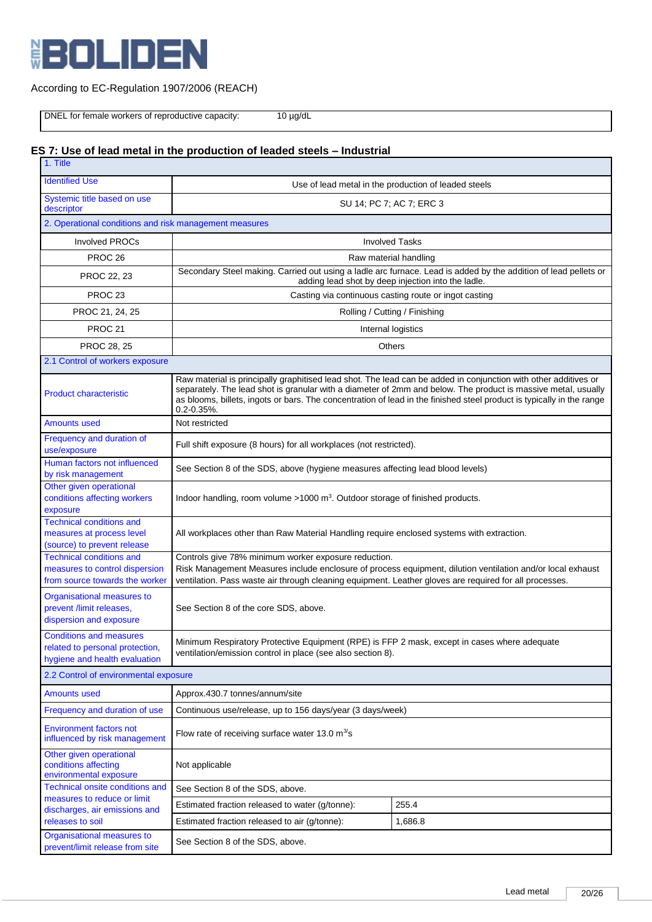

DNEL for female workers of reproductive capacity: 10 µg/dL

# **ES 7: Use of lead metal in the production of leaded steels – Industrial**

| 1. Title                                                                                            |                                                                                                                                                                                                                                                                                                                                                                               |                                                       |  |  |  |
|-----------------------------------------------------------------------------------------------------|-------------------------------------------------------------------------------------------------------------------------------------------------------------------------------------------------------------------------------------------------------------------------------------------------------------------------------------------------------------------------------|-------------------------------------------------------|--|--|--|
| <b>Identified Use</b>                                                                               | Use of lead metal in the production of leaded steels                                                                                                                                                                                                                                                                                                                          |                                                       |  |  |  |
| Systemic title based on use<br>descriptor                                                           | SU 14; PC 7; AC 7; ERC 3                                                                                                                                                                                                                                                                                                                                                      |                                                       |  |  |  |
|                                                                                                     | 2. Operational conditions and risk management measures                                                                                                                                                                                                                                                                                                                        |                                                       |  |  |  |
| <b>Involved PROCs</b>                                                                               | <b>Involved Tasks</b>                                                                                                                                                                                                                                                                                                                                                         |                                                       |  |  |  |
| PROC <sub>26</sub>                                                                                  | Raw material handling                                                                                                                                                                                                                                                                                                                                                         |                                                       |  |  |  |
| PROC 22, 23                                                                                         | Secondary Steel making. Carried out using a ladle arc furnace. Lead is added by the addition of lead pellets or<br>adding lead shot by deep injection into the ladle.                                                                                                                                                                                                         |                                                       |  |  |  |
| PROC <sub>23</sub>                                                                                  |                                                                                                                                                                                                                                                                                                                                                                               | Casting via continuous casting route or ingot casting |  |  |  |
| PROC 21, 24, 25                                                                                     |                                                                                                                                                                                                                                                                                                                                                                               | Rolling / Cutting / Finishing                         |  |  |  |
| <b>PROC 21</b>                                                                                      |                                                                                                                                                                                                                                                                                                                                                                               | Internal logistics                                    |  |  |  |
| PROC 28, 25                                                                                         |                                                                                                                                                                                                                                                                                                                                                                               | Others                                                |  |  |  |
| 2.1 Control of workers exposure                                                                     |                                                                                                                                                                                                                                                                                                                                                                               |                                                       |  |  |  |
| <b>Product characteristic</b>                                                                       | Raw material is principally graphitised lead shot. The lead can be added in conjunction with other additives or<br>separately. The lead shot is granular with a diameter of 2mm and below. The product is massive metal, usually<br>as blooms, billets, ingots or bars. The concentration of lead in the finished steel product is typically in the range<br>$0.2 - 0.35\%$ . |                                                       |  |  |  |
| <b>Amounts used</b>                                                                                 | Not restricted                                                                                                                                                                                                                                                                                                                                                                |                                                       |  |  |  |
| Frequency and duration of<br>use/exposure                                                           | Full shift exposure (8 hours) for all workplaces (not restricted).                                                                                                                                                                                                                                                                                                            |                                                       |  |  |  |
| Human factors not influenced<br>by risk management                                                  | See Section 8 of the SDS, above (hygiene measures affecting lead blood levels)                                                                                                                                                                                                                                                                                                |                                                       |  |  |  |
| Other given operational<br>conditions affecting workers<br>exposure                                 | Indoor handling, room volume >1000 m <sup>3</sup> . Outdoor storage of finished products.                                                                                                                                                                                                                                                                                     |                                                       |  |  |  |
| <b>Technical conditions and</b><br>measures at process level<br>(source) to prevent release         | All workplaces other than Raw Material Handling require enclosed systems with extraction.                                                                                                                                                                                                                                                                                     |                                                       |  |  |  |
| <b>Technical conditions and</b><br>measures to control dispersion<br>from source towards the worker | Controls give 78% minimum worker exposure reduction.<br>Risk Management Measures include enclosure of process equipment, dilution ventilation and/or local exhaust<br>ventilation. Pass waste air through cleaning equipment. Leather gloves are required for all processes.                                                                                                  |                                                       |  |  |  |
| Organisational measures to<br>prevent /limit releases,<br>dispersion and exposure                   | See Section 8 of the core SDS, above.                                                                                                                                                                                                                                                                                                                                         |                                                       |  |  |  |
| <b>Conditions and measures</b><br>related to personal protection,<br>hygiene and health evaluation  | Minimum Respiratory Protective Equipment (RPE) is FFP 2 mask, except in cases where adequate<br>ventilation/emission control in place (see also section 8).                                                                                                                                                                                                                   |                                                       |  |  |  |
| 2.2 Control of environmental exposure                                                               |                                                                                                                                                                                                                                                                                                                                                                               |                                                       |  |  |  |
| <b>Amounts used</b>                                                                                 | Approx.430.7 tonnes/annum/site                                                                                                                                                                                                                                                                                                                                                |                                                       |  |  |  |
| Frequency and duration of use                                                                       | Continuous use/release, up to 156 days/year (3 days/week)                                                                                                                                                                                                                                                                                                                     |                                                       |  |  |  |
| <b>Environment factors not</b><br>influenced by risk management                                     | Flow rate of receiving surface water 13.0 $m^3$ s                                                                                                                                                                                                                                                                                                                             |                                                       |  |  |  |
| Other given operational<br>conditions affecting<br>environmental exposure                           | Not applicable                                                                                                                                                                                                                                                                                                                                                                |                                                       |  |  |  |
| Technical onsite conditions and<br>measures to reduce or limit                                      | See Section 8 of the SDS, above.                                                                                                                                                                                                                                                                                                                                              |                                                       |  |  |  |
| discharges, air emissions and                                                                       | Estimated fraction released to water (g/tonne):                                                                                                                                                                                                                                                                                                                               | 255.4                                                 |  |  |  |
| releases to soil                                                                                    | Estimated fraction released to air (g/tonne):                                                                                                                                                                                                                                                                                                                                 | 1,686.8                                               |  |  |  |
| Organisational measures to<br>prevent/limit release from site                                       | See Section 8 of the SDS, above.                                                                                                                                                                                                                                                                                                                                              |                                                       |  |  |  |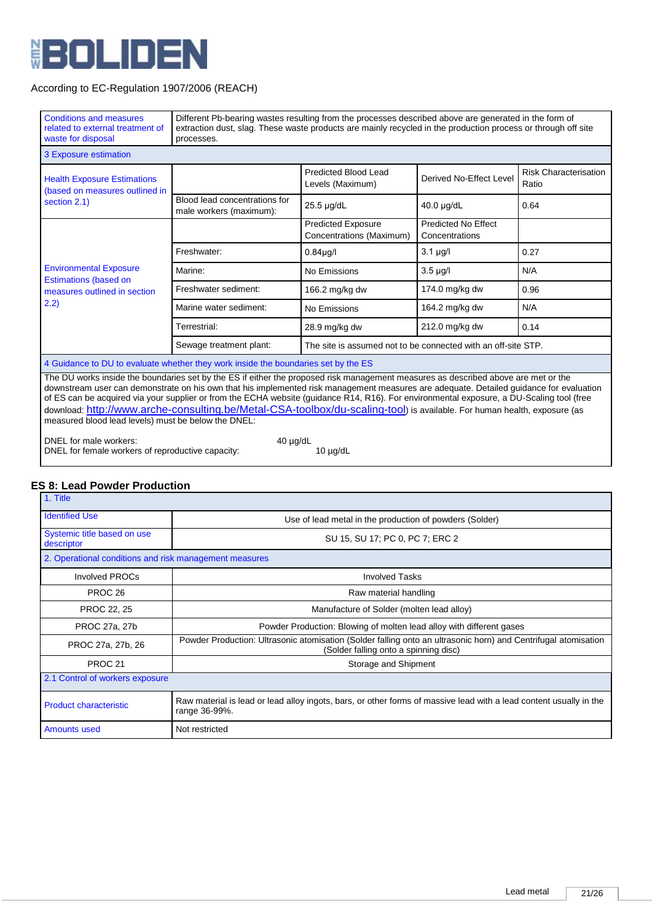

| <b>Conditions and measures</b><br>related to external treatment of<br>waste for disposal                                                                                                                                                                                                                                                                                                                                                                                                                                                                                                                      | Different Pb-bearing wastes resulting from the processes described above are generated in the form of<br>extraction dust, slag. These waste products are mainly recycled in the production process or through off site<br>processes. |                                                               |                                       |                                       |
|---------------------------------------------------------------------------------------------------------------------------------------------------------------------------------------------------------------------------------------------------------------------------------------------------------------------------------------------------------------------------------------------------------------------------------------------------------------------------------------------------------------------------------------------------------------------------------------------------------------|--------------------------------------------------------------------------------------------------------------------------------------------------------------------------------------------------------------------------------------|---------------------------------------------------------------|---------------------------------------|---------------------------------------|
| 3 Exposure estimation                                                                                                                                                                                                                                                                                                                                                                                                                                                                                                                                                                                         |                                                                                                                                                                                                                                      |                                                               |                                       |                                       |
| <b>Health Exposure Estimations</b><br>(based on measures outlined in                                                                                                                                                                                                                                                                                                                                                                                                                                                                                                                                          |                                                                                                                                                                                                                                      | <b>Predicted Blood Lead</b><br>Levels (Maximum)               | Derived No-Effect Level               | <b>Risk Characterisation</b><br>Ratio |
| section 2.1)                                                                                                                                                                                                                                                                                                                                                                                                                                                                                                                                                                                                  | Blood lead concentrations for<br>male workers (maximum):                                                                                                                                                                             | 25.5 µg/dL                                                    | 40.0 µg/dL                            | 0.64                                  |
|                                                                                                                                                                                                                                                                                                                                                                                                                                                                                                                                                                                                               |                                                                                                                                                                                                                                      | <b>Predicted Exposure</b><br>Concentrations (Maximum)         | Predicted No Effect<br>Concentrations |                                       |
|                                                                                                                                                                                                                                                                                                                                                                                                                                                                                                                                                                                                               | Freshwater:                                                                                                                                                                                                                          | $0.84\mu$ g/l                                                 | $3.1 \mu g/l$                         | 0.27                                  |
| <b>Environmental Exposure</b>                                                                                                                                                                                                                                                                                                                                                                                                                                                                                                                                                                                 | Marine:                                                                                                                                                                                                                              | No Emissions                                                  | $3.5 \mu g/l$                         | N/A                                   |
| <b>Estimations (based on</b><br>measures outlined in section                                                                                                                                                                                                                                                                                                                                                                                                                                                                                                                                                  | Freshwater sediment:                                                                                                                                                                                                                 | 166.2 mg/kg dw                                                | 174.0 mg/kg dw                        | 0.96                                  |
| 2.2)                                                                                                                                                                                                                                                                                                                                                                                                                                                                                                                                                                                                          | Marine water sediment:                                                                                                                                                                                                               | No Emissions                                                  | 164.2 mg/kg dw                        | N/A                                   |
|                                                                                                                                                                                                                                                                                                                                                                                                                                                                                                                                                                                                               | Terrestrial:                                                                                                                                                                                                                         | 28.9 mg/kg dw                                                 | 212.0 mg/kg dw                        | 0.14                                  |
|                                                                                                                                                                                                                                                                                                                                                                                                                                                                                                                                                                                                               | Sewage treatment plant:                                                                                                                                                                                                              | The site is assumed not to be connected with an off-site STP. |                                       |                                       |
| 4 Guidance to DU to evaluate whether they work inside the boundaries set by the ES                                                                                                                                                                                                                                                                                                                                                                                                                                                                                                                            |                                                                                                                                                                                                                                      |                                                               |                                       |                                       |
| The DU works inside the boundaries set by the ES if either the proposed risk management measures as described above are met or the<br>downstream user can demonstrate on his own that his implemented risk management measures are adequate. Detailed guidance for evaluation<br>of ES can be acquired via your supplier or from the ECHA website (quidance R14, R16). For environmental exposure, a DU-Scaling tool (free<br>download: http://www.arche-consulting.be/Metal-CSA-toolbox/du-scaling-tool) is available. For human health, exposure (as<br>measured blood lead levels) must be below the DNEL: |                                                                                                                                                                                                                                      |                                                               |                                       |                                       |
| DNEL for male workers:<br>DNEL for female workers of reproductive capacity:                                                                                                                                                                                                                                                                                                                                                                                                                                                                                                                                   | $40 \mu g/dL$                                                                                                                                                                                                                        | $10 \mu g/dL$                                                 |                                       |                                       |

# **ES 8: Lead Powder Production**

| 1. Title                                               |                                                                                                                                                         |
|--------------------------------------------------------|---------------------------------------------------------------------------------------------------------------------------------------------------------|
| <b>Identified Use</b>                                  | Use of lead metal in the production of powders (Solder)                                                                                                 |
| Systemic title based on use<br>descriptor              | SU 15, SU 17; PC 0, PC 7; ERC 2                                                                                                                         |
| 2. Operational conditions and risk management measures |                                                                                                                                                         |
| <b>Involved PROCs</b>                                  | <b>Involved Tasks</b>                                                                                                                                   |
| PROC <sub>26</sub>                                     | Raw material handling                                                                                                                                   |
| PROC 22, 25                                            | Manufacture of Solder (molten lead alloy)                                                                                                               |
| PROC 27a, 27b                                          | Powder Production: Blowing of molten lead alloy with different gases                                                                                    |
| PROC 27a, 27b, 26                                      | Powder Production: Ultrasonic atomisation (Solder falling onto an ultrasonic horn) and Centrifugal atomisation<br>(Solder falling onto a spinning disc) |
| PROC <sub>21</sub>                                     | Storage and Shipment                                                                                                                                    |
| 2.1 Control of workers exposure                        |                                                                                                                                                         |
| <b>Product characteristic</b>                          | Raw material is lead or lead alloy ingots, bars, or other forms of massive lead with a lead content usually in the<br>range 36-99%.                     |
| <b>Amounts used</b>                                    | Not restricted                                                                                                                                          |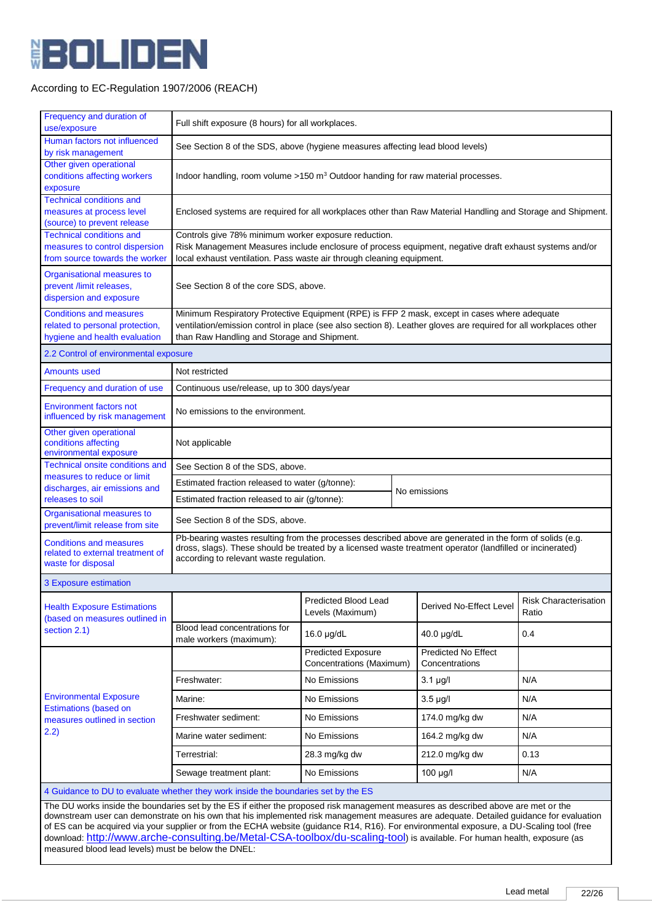

| Frequency and duration of<br>use/exposure                                                                                                                                                                                                                                                                                                                                                                                  | Full shift exposure (8 hours) for all workplaces.                                                                                                                                                                                                                |                                                                                                             |                         |                                       |      |
|----------------------------------------------------------------------------------------------------------------------------------------------------------------------------------------------------------------------------------------------------------------------------------------------------------------------------------------------------------------------------------------------------------------------------|------------------------------------------------------------------------------------------------------------------------------------------------------------------------------------------------------------------------------------------------------------------|-------------------------------------------------------------------------------------------------------------|-------------------------|---------------------------------------|------|
| Human factors not influenced<br>by risk management                                                                                                                                                                                                                                                                                                                                                                         | See Section 8 of the SDS, above (hygiene measures affecting lead blood levels)                                                                                                                                                                                   |                                                                                                             |                         |                                       |      |
| Other given operational<br>conditions affecting workers<br>exposure                                                                                                                                                                                                                                                                                                                                                        | Indoor handling, room volume $>150$ m <sup>3</sup> Outdoor handing for raw material processes.                                                                                                                                                                   |                                                                                                             |                         |                                       |      |
| <b>Technical conditions and</b><br>measures at process level<br>(source) to prevent release                                                                                                                                                                                                                                                                                                                                |                                                                                                                                                                                                                                                                  | Enclosed systems are required for all workplaces other than Raw Material Handling and Storage and Shipment. |                         |                                       |      |
| <b>Technical conditions and</b><br>measures to control dispersion<br>from source towards the worker                                                                                                                                                                                                                                                                                                                        | Controls give 78% minimum worker exposure reduction.<br>Risk Management Measures include enclosure of process equipment, negative draft exhaust systems and/or<br>local exhaust ventilation. Pass waste air through cleaning equipment.                          |                                                                                                             |                         |                                       |      |
| Organisational measures to<br>prevent /limit releases,<br>dispersion and exposure                                                                                                                                                                                                                                                                                                                                          | See Section 8 of the core SDS, above.                                                                                                                                                                                                                            |                                                                                                             |                         |                                       |      |
| <b>Conditions and measures</b><br>related to personal protection,<br>hygiene and health evaluation                                                                                                                                                                                                                                                                                                                         | Minimum Respiratory Protective Equipment (RPE) is FFP 2 mask, except in cases where adequate<br>ventilation/emission control in place (see also section 8). Leather gloves are required for all workplaces other<br>than Raw Handling and Storage and Shipment.  |                                                                                                             |                         |                                       |      |
| 2.2 Control of environmental exposure                                                                                                                                                                                                                                                                                                                                                                                      |                                                                                                                                                                                                                                                                  |                                                                                                             |                         |                                       |      |
| <b>Amounts used</b>                                                                                                                                                                                                                                                                                                                                                                                                        | Not restricted                                                                                                                                                                                                                                                   |                                                                                                             |                         |                                       |      |
| Frequency and duration of use                                                                                                                                                                                                                                                                                                                                                                                              | Continuous use/release, up to 300 days/year                                                                                                                                                                                                                      |                                                                                                             |                         |                                       |      |
| <b>Environment factors not</b><br>influenced by risk management                                                                                                                                                                                                                                                                                                                                                            |                                                                                                                                                                                                                                                                  | No emissions to the environment.                                                                            |                         |                                       |      |
| Other given operational<br>conditions affecting<br>environmental exposure                                                                                                                                                                                                                                                                                                                                                  | Not applicable                                                                                                                                                                                                                                                   |                                                                                                             |                         |                                       |      |
| Technical onsite conditions and                                                                                                                                                                                                                                                                                                                                                                                            | See Section 8 of the SDS, above.                                                                                                                                                                                                                                 |                                                                                                             |                         |                                       |      |
| measures to reduce or limit<br>discharges, air emissions and                                                                                                                                                                                                                                                                                                                                                               | Estimated fraction released to water (g/tonne):                                                                                                                                                                                                                  |                                                                                                             |                         |                                       |      |
| releases to soil                                                                                                                                                                                                                                                                                                                                                                                                           | Estimated fraction released to air (g/tonne):                                                                                                                                                                                                                    |                                                                                                             |                         | No emissions                          |      |
| Organisational measures to<br>prevent/limit release from site                                                                                                                                                                                                                                                                                                                                                              |                                                                                                                                                                                                                                                                  | See Section 8 of the SDS, above.                                                                            |                         |                                       |      |
| <b>Conditions and measures</b><br>related to external treatment of<br>waste for disposal                                                                                                                                                                                                                                                                                                                                   | Pb-bearing wastes resulting from the processes described above are generated in the form of solids (e.g.<br>dross, slags). These should be treated by a licensed waste treatment operator (landfilled or incinerated)<br>according to relevant waste regulation. |                                                                                                             |                         |                                       |      |
| 3 Exposure estimation                                                                                                                                                                                                                                                                                                                                                                                                      |                                                                                                                                                                                                                                                                  |                                                                                                             |                         |                                       |      |
| <b>Health Exposure Estimations</b><br>(based on measures outlined in                                                                                                                                                                                                                                                                                                                                                       | Predicted Blood Lead<br>Levels (Maximum)                                                                                                                                                                                                                         |                                                                                                             | Derived No-Effect Level | Risk Characterisation<br>Ratio        |      |
| section 2.1)                                                                                                                                                                                                                                                                                                                                                                                                               | Blood lead concentrations for<br>male workers (maximum):                                                                                                                                                                                                         | 16.0 µg/dL                                                                                                  |                         | 40.0 µg/dL                            | 0.4  |
|                                                                                                                                                                                                                                                                                                                                                                                                                            |                                                                                                                                                                                                                                                                  | <b>Predicted Exposure</b><br>Concentrations (Maximum)                                                       |                         | Predicted No Effect<br>Concentrations |      |
|                                                                                                                                                                                                                                                                                                                                                                                                                            | Freshwater:                                                                                                                                                                                                                                                      | No Emissions                                                                                                |                         | $3.1 \mu g/l$                         | N/A  |
| <b>Environmental Exposure</b>                                                                                                                                                                                                                                                                                                                                                                                              | Marine:                                                                                                                                                                                                                                                          | No Emissions                                                                                                |                         | $3.5 \mu q/l$                         | N/A  |
| <b>Estimations (based on</b><br>measures outlined in section                                                                                                                                                                                                                                                                                                                                                               | Freshwater sediment:                                                                                                                                                                                                                                             | No Emissions                                                                                                |                         | 174.0 mg/kg dw                        | N/A  |
| 2.2)                                                                                                                                                                                                                                                                                                                                                                                                                       | Marine water sediment:                                                                                                                                                                                                                                           | No Emissions                                                                                                |                         | 164.2 mg/kg dw                        | N/A  |
|                                                                                                                                                                                                                                                                                                                                                                                                                            | Terrestrial:                                                                                                                                                                                                                                                     | 28.3 mg/kg dw                                                                                               |                         | 212.0 mg/kg dw                        | 0.13 |
|                                                                                                                                                                                                                                                                                                                                                                                                                            | Sewage treatment plant:                                                                                                                                                                                                                                          | No Emissions                                                                                                |                         | $100 \mu g/l$                         | N/A  |
|                                                                                                                                                                                                                                                                                                                                                                                                                            | 4 Guidance to DU to evaluate whether they work inside the boundaries set by the ES                                                                                                                                                                               |                                                                                                             |                         |                                       |      |
| The DU works inside the boundaries set by the ES if either the proposed risk management measures as described above are met or the<br>downstream user can demonstrate on his own that his implemented risk management measures are adequate. Detailed guidance for evaluation<br>of ES can be acquired via your supplier or from the ECHA website (guidance R14, R16). For environmental exposure, a DU-Scaling tool (free |                                                                                                                                                                                                                                                                  |                                                                                                             |                         |                                       |      |
| download: http://www.arche-consulting.be/Metal-CSA-toolbox/du-scaling-tool) is available. For human health, exposure (as                                                                                                                                                                                                                                                                                                   |                                                                                                                                                                                                                                                                  |                                                                                                             |                         |                                       |      |

measured blood lead levels) must be below the DNEL: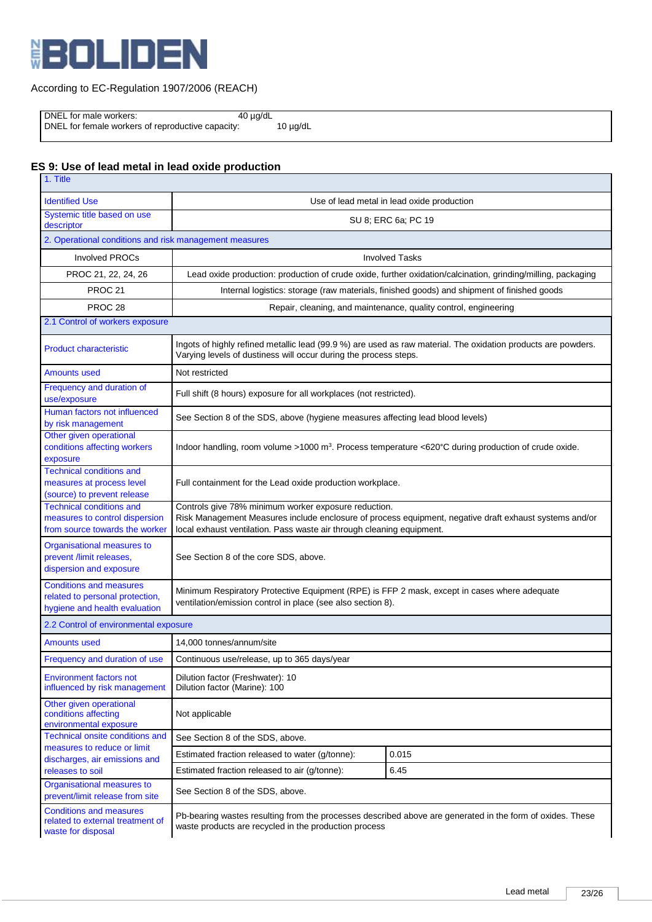

DNEL for male workers: 40 µg/dL

DNEL for female workers of reproductive capacity: 10 µg/dL

# **ES 9: Use of lead metal in lead oxide production**

| 1. Title                                                                                            |                                                                                                                                                                                                                                         |                                                                                            |  |
|-----------------------------------------------------------------------------------------------------|-----------------------------------------------------------------------------------------------------------------------------------------------------------------------------------------------------------------------------------------|--------------------------------------------------------------------------------------------|--|
| <b>Identified Use</b>                                                                               | Use of lead metal in lead oxide production                                                                                                                                                                                              |                                                                                            |  |
| Systemic title based on use<br>descriptor                                                           | SU 8; ERC 6a; PC 19                                                                                                                                                                                                                     |                                                                                            |  |
| 2. Operational conditions and risk management measures                                              |                                                                                                                                                                                                                                         |                                                                                            |  |
| <b>Involved PROCs</b>                                                                               | <b>Involved Tasks</b>                                                                                                                                                                                                                   |                                                                                            |  |
| PROC 21, 22, 24, 26                                                                                 | Lead oxide production: production of crude oxide, further oxidation/calcination, grinding/milling, packaging                                                                                                                            |                                                                                            |  |
| <b>PROC 21</b>                                                                                      |                                                                                                                                                                                                                                         | Internal logistics: storage (raw materials, finished goods) and shipment of finished goods |  |
| PROC <sub>28</sub>                                                                                  |                                                                                                                                                                                                                                         | Repair, cleaning, and maintenance, quality control, engineering                            |  |
| 2.1 Control of workers exposure                                                                     |                                                                                                                                                                                                                                         |                                                                                            |  |
| <b>Product characteristic</b>                                                                       | Ingots of highly refined metallic lead (99.9 %) are used as raw material. The oxidation products are powders.<br>Varying levels of dustiness will occur during the process steps.                                                       |                                                                                            |  |
| <b>Amounts used</b>                                                                                 | Not restricted                                                                                                                                                                                                                          |                                                                                            |  |
| Frequency and duration of<br>use/exposure                                                           | Full shift (8 hours) exposure for all workplaces (not restricted).                                                                                                                                                                      |                                                                                            |  |
| Human factors not influenced<br>by risk management                                                  | See Section 8 of the SDS, above (hygiene measures affecting lead blood levels)                                                                                                                                                          |                                                                                            |  |
| Other given operational<br>conditions affecting workers<br>exposure                                 | Indoor handling, room volume >1000 m <sup>3</sup> . Process temperature <620°C during production of crude oxide.                                                                                                                        |                                                                                            |  |
| <b>Technical conditions and</b><br>measures at process level<br>(source) to prevent release         | Full containment for the Lead oxide production workplace.                                                                                                                                                                               |                                                                                            |  |
| <b>Technical conditions and</b><br>measures to control dispersion<br>from source towards the worker | Controls give 78% minimum worker exposure reduction.<br>Risk Management Measures include enclosure of process equipment, negative draft exhaust systems and/or<br>local exhaust ventilation. Pass waste air through cleaning equipment. |                                                                                            |  |
| Organisational measures to<br>prevent /limit releases,<br>dispersion and exposure                   | See Section 8 of the core SDS, above.                                                                                                                                                                                                   |                                                                                            |  |
| <b>Conditions and measures</b><br>related to personal protection,<br>hygiene and health evaluation  | Minimum Respiratory Protective Equipment (RPE) is FFP 2 mask, except in cases where adequate<br>ventilation/emission control in place (see also section 8).                                                                             |                                                                                            |  |
| 2.2 Control of environmental exposure                                                               |                                                                                                                                                                                                                                         |                                                                                            |  |
| <b>Amounts used</b>                                                                                 | 14,000 tonnes/annum/site                                                                                                                                                                                                                |                                                                                            |  |
| Frequency and duration of use                                                                       | Continuous use/release, up to 365 days/year                                                                                                                                                                                             |                                                                                            |  |
| <b>Environment factors not</b><br>influenced by risk management                                     | Dilution factor (Freshwater): 10<br>Dilution factor (Marine): 100                                                                                                                                                                       |                                                                                            |  |
| Other given operational<br>conditions affecting<br>environmental exposure                           | Not applicable                                                                                                                                                                                                                          |                                                                                            |  |
| Technical onsite conditions and<br>measures to reduce or limit                                      | See Section 8 of the SDS, above.                                                                                                                                                                                                        |                                                                                            |  |
| discharges, air emissions and                                                                       | Estimated fraction released to water (g/tonne):                                                                                                                                                                                         | 0.015                                                                                      |  |
| releases to soil                                                                                    | Estimated fraction released to air (g/tonne):                                                                                                                                                                                           | 6.45                                                                                       |  |
| Organisational measures to<br>prevent/limit release from site                                       | See Section 8 of the SDS, above.                                                                                                                                                                                                        |                                                                                            |  |
| <b>Conditions and measures</b><br>related to external treatment of<br>waste for disposal            | Pb-bearing wastes resulting from the processes described above are generated in the form of oxides. These<br>waste products are recycled in the production process                                                                      |                                                                                            |  |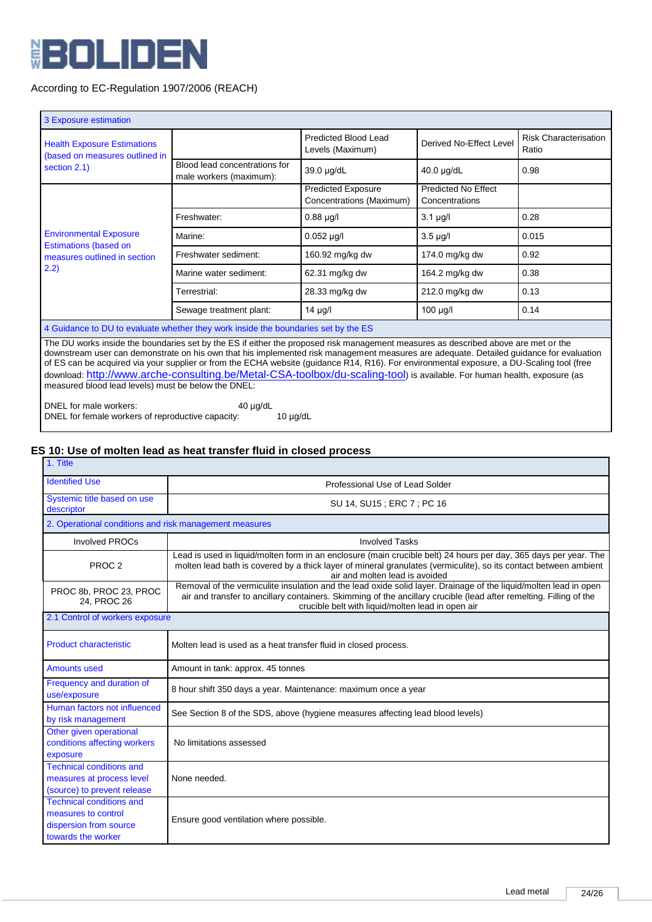

| 3 Exposure estimation                                                              |                                                                                                                                                                                                                                                                                                                                                                                                                                                                                                                                                        |                                                       |                                              |                                       |
|------------------------------------------------------------------------------------|--------------------------------------------------------------------------------------------------------------------------------------------------------------------------------------------------------------------------------------------------------------------------------------------------------------------------------------------------------------------------------------------------------------------------------------------------------------------------------------------------------------------------------------------------------|-------------------------------------------------------|----------------------------------------------|---------------------------------------|
| <b>Health Exposure Estimations</b><br>(based on measures outlined in               |                                                                                                                                                                                                                                                                                                                                                                                                                                                                                                                                                        | <b>Predicted Blood Lead</b><br>Levels (Maximum)       | Derived No-Effect Level                      | <b>Risk Characterisation</b><br>Ratio |
| section 2.1)                                                                       | Blood lead concentrations for<br>male workers (maximum):                                                                                                                                                                                                                                                                                                                                                                                                                                                                                               | 39.0 µg/dL                                            | 40.0 µg/dL                                   | 0.98                                  |
|                                                                                    |                                                                                                                                                                                                                                                                                                                                                                                                                                                                                                                                                        | <b>Predicted Exposure</b><br>Concentrations (Maximum) | <b>Predicted No Effect</b><br>Concentrations |                                       |
|                                                                                    | Freshwater:                                                                                                                                                                                                                                                                                                                                                                                                                                                                                                                                            | $0.88 \mu g/l$                                        | $3.1 \mu g/l$                                | 0.28                                  |
| <b>Environmental Exposure</b><br><b>Estimations (based on</b>                      | Marine:                                                                                                                                                                                                                                                                                                                                                                                                                                                                                                                                                | $0.052$ µg/l                                          | $3.5 \mu g/l$                                | 0.015                                 |
| measures outlined in section                                                       | Freshwater sediment:                                                                                                                                                                                                                                                                                                                                                                                                                                                                                                                                   | 160.92 mg/kg dw                                       | 174.0 mg/kg dw                               | 0.92                                  |
| 2.2)                                                                               | Marine water sediment:                                                                                                                                                                                                                                                                                                                                                                                                                                                                                                                                 | 62.31 mg/kg dw                                        | 164.2 mg/kg dw                               | 0.38                                  |
|                                                                                    | Terrestrial:                                                                                                                                                                                                                                                                                                                                                                                                                                                                                                                                           | 28.33 mg/kg dw                                        | 212.0 mg/kg dw                               | 0.13                                  |
|                                                                                    | Sewage treatment plant:                                                                                                                                                                                                                                                                                                                                                                                                                                                                                                                                | 14 µg/l                                               | $100 \mu g/l$                                | 0.14                                  |
| 4 Guidance to DU to evaluate whether they work inside the boundaries set by the ES |                                                                                                                                                                                                                                                                                                                                                                                                                                                                                                                                                        |                                                       |                                              |                                       |
| measured blood lead levels) must be below the DNEL:                                | The DU works inside the boundaries set by the ES if either the proposed risk management measures as described above are met or the<br>downstream user can demonstrate on his own that his implemented risk management measures are adequate. Detailed guidance for evaluation<br>of ES can be acquired via your supplier or from the ECHA website (guidance R14, R16). For environmental exposure, a DU-Scaling tool (free<br>download: http://www.arche-consulting.be/Metal-CSA-toolbox/du-scaling-tool) is available. For human health, exposure (as |                                                       |                                              |                                       |

DNEL for male workers: 40 µg/dL<br>DNEL for female workers of reproductive capacity: 10 µg/dL DNEL for female workers of reproductive capacity:

# **ES 10: Use of molten lead as heat transfer fluid in closed process**

| 1. Title                                                                                               |                                                                                                                                                                                                                                                                                             |  |  |
|--------------------------------------------------------------------------------------------------------|---------------------------------------------------------------------------------------------------------------------------------------------------------------------------------------------------------------------------------------------------------------------------------------------|--|--|
| <b>Identified Use</b>                                                                                  | Professional Use of Lead Solder                                                                                                                                                                                                                                                             |  |  |
| Systemic title based on use<br>descriptor                                                              | SU 14, SU15; ERC 7; PC 16                                                                                                                                                                                                                                                                   |  |  |
| 2. Operational conditions and risk management measures                                                 |                                                                                                                                                                                                                                                                                             |  |  |
| <b>Involved PROCs</b>                                                                                  | <b>Involved Tasks</b>                                                                                                                                                                                                                                                                       |  |  |
| PROC <sub>2</sub>                                                                                      | Lead is used in liquid/molten form in an enclosure (main crucible belt) 24 hours per day, 365 days per year. The<br>molten lead bath is covered by a thick layer of mineral granulates (vermiculite), so its contact between ambient<br>air and molten lead is avoided                      |  |  |
| PROC 8b, PROC 23, PROC<br>24, PROC 26                                                                  | Removal of the vermiculite insulation and the lead oxide solid layer. Drainage of the liquid/molten lead in open<br>air and transfer to ancillary containers. Skimming of the ancillary crucible (lead after remelting. Filling of the<br>crucible belt with liquid/molten lead in open air |  |  |
| 2.1 Control of workers exposure                                                                        |                                                                                                                                                                                                                                                                                             |  |  |
| <b>Product characteristic</b>                                                                          | Molten lead is used as a heat transfer fluid in closed process.                                                                                                                                                                                                                             |  |  |
| <b>Amounts used</b>                                                                                    | Amount in tank: approx. 45 tonnes                                                                                                                                                                                                                                                           |  |  |
| Frequency and duration of<br>use/exposure                                                              | 8 hour shift 350 days a year. Maintenance: maximum once a year                                                                                                                                                                                                                              |  |  |
| Human factors not influenced<br>by risk management                                                     | See Section 8 of the SDS, above (hygiene measures affecting lead blood levels)                                                                                                                                                                                                              |  |  |
| Other given operational<br>conditions affecting workers<br>exposure                                    | No limitations assessed                                                                                                                                                                                                                                                                     |  |  |
| <b>Technical conditions and</b><br>measures at process level<br>(source) to prevent release            | None needed.                                                                                                                                                                                                                                                                                |  |  |
| <b>Technical conditions and</b><br>measures to control<br>dispersion from source<br>towards the worker | Ensure good ventilation where possible.                                                                                                                                                                                                                                                     |  |  |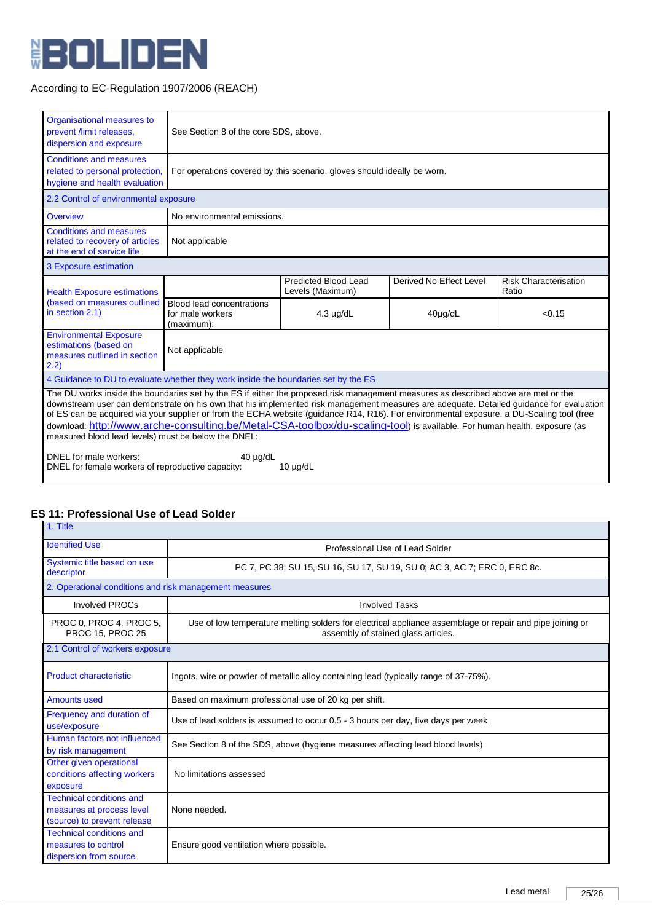

| Organisational measures to<br>prevent /limit releases,<br>dispersion and exposure                                                                                                                                                                                                                                                                                                                                                                                                                                                                                                                                                                                                                                              | See Section 8 of the core SDS, above.                                   |                                          |                         |                                |  |  |  |
|--------------------------------------------------------------------------------------------------------------------------------------------------------------------------------------------------------------------------------------------------------------------------------------------------------------------------------------------------------------------------------------------------------------------------------------------------------------------------------------------------------------------------------------------------------------------------------------------------------------------------------------------------------------------------------------------------------------------------------|-------------------------------------------------------------------------|------------------------------------------|-------------------------|--------------------------------|--|--|--|
| <b>Conditions and measures</b><br>related to personal protection,<br>hygiene and health evaluation                                                                                                                                                                                                                                                                                                                                                                                                                                                                                                                                                                                                                             | For operations covered by this scenario, gloves should ideally be worn. |                                          |                         |                                |  |  |  |
| 2.2 Control of environmental exposure                                                                                                                                                                                                                                                                                                                                                                                                                                                                                                                                                                                                                                                                                          |                                                                         |                                          |                         |                                |  |  |  |
| Overview                                                                                                                                                                                                                                                                                                                                                                                                                                                                                                                                                                                                                                                                                                                       | No environmental emissions.                                             |                                          |                         |                                |  |  |  |
| <b>Conditions and measures</b><br>related to recovery of articles<br>at the end of service life                                                                                                                                                                                                                                                                                                                                                                                                                                                                                                                                                                                                                                | Not applicable                                                          |                                          |                         |                                |  |  |  |
| 3 Exposure estimation                                                                                                                                                                                                                                                                                                                                                                                                                                                                                                                                                                                                                                                                                                          |                                                                         |                                          |                         |                                |  |  |  |
| <b>Health Exposure estimations</b><br>(based on measures outlined<br>in section 2.1)                                                                                                                                                                                                                                                                                                                                                                                                                                                                                                                                                                                                                                           |                                                                         | Predicted Blood Lead<br>Levels (Maximum) | Derived No Effect Level | Risk Characterisation<br>Ratio |  |  |  |
|                                                                                                                                                                                                                                                                                                                                                                                                                                                                                                                                                                                                                                                                                                                                | <b>Blood lead concentrations</b><br>for male workers<br>(maximum):      | $4.3 \mu g/dL$                           | 40µg/dL                 | < 0.15                         |  |  |  |
| <b>Environmental Exposure</b><br>estimations (based on<br>measures outlined in section<br>2.2)                                                                                                                                                                                                                                                                                                                                                                                                                                                                                                                                                                                                                                 | Not applicable                                                          |                                          |                         |                                |  |  |  |
| 4 Guidance to DU to evaluate whether they work inside the boundaries set by the ES                                                                                                                                                                                                                                                                                                                                                                                                                                                                                                                                                                                                                                             |                                                                         |                                          |                         |                                |  |  |  |
| The DU works inside the boundaries set by the ES if either the proposed risk management measures as described above are met or the<br>downstream user can demonstrate on his own that his implemented risk management measures are adequate. Detailed guidance for evaluation<br>of ES can be acquired via your supplier or from the ECHA website (guidance R14, R16). For environmental exposure, a DU-Scaling tool (free<br>download: http://www.arche-consulting.be/Metal-CSA-toolbox/du-scaling-tool) is available. For human health, exposure (as<br>measured blood lead levels) must be below the DNEL:<br>DNEL for male workers:<br>$40 \mu q/dL$<br>DNEL for female workers of reproductive capacity:<br>$10 \mu q/dL$ |                                                                         |                                          |                         |                                |  |  |  |

#### **ES 11: Professional Use of Lead Solder** 1. Title

| .                                                                                           |                                                                                                                                                 |  |  |  |  |
|---------------------------------------------------------------------------------------------|-------------------------------------------------------------------------------------------------------------------------------------------------|--|--|--|--|
| <b>Identified Use</b>                                                                       | Professional Use of Lead Solder                                                                                                                 |  |  |  |  |
| Systemic title based on use<br>descriptor                                                   | PC 7, PC 38; SU 15, SU 16, SU 17, SU 19, SU 0; AC 3, AC 7; ERC 0, ERC 8c.                                                                       |  |  |  |  |
| 2. Operational conditions and risk management measures                                      |                                                                                                                                                 |  |  |  |  |
| <b>Involved PROCs</b>                                                                       | <b>Involved Tasks</b>                                                                                                                           |  |  |  |  |
| PROC 0, PROC 4, PROC 5,<br>PROC 15, PROC 25                                                 | Use of low temperature melting solders for electrical appliance assemblage or repair and pipe joining or<br>assembly of stained glass articles. |  |  |  |  |
| 2.1 Control of workers exposure                                                             |                                                                                                                                                 |  |  |  |  |
| <b>Product characteristic</b>                                                               | Ingots, wire or powder of metallic alloy containing lead (typically range of 37-75%).                                                           |  |  |  |  |
| Amounts used                                                                                | Based on maximum professional use of 20 kg per shift.                                                                                           |  |  |  |  |
| Frequency and duration of<br>use/exposure                                                   | Use of lead solders is assumed to occur 0.5 - 3 hours per day, five days per week                                                               |  |  |  |  |
| Human factors not influenced<br>by risk management                                          | See Section 8 of the SDS, above (hygiene measures affecting lead blood levels)                                                                  |  |  |  |  |
| Other given operational<br>conditions affecting workers<br>exposure                         | No limitations assessed                                                                                                                         |  |  |  |  |
| <b>Technical conditions and</b><br>measures at process level<br>(source) to prevent release | None needed.                                                                                                                                    |  |  |  |  |
| <b>Technical conditions and</b><br>measures to control<br>dispersion from source            | Ensure good ventilation where possible.                                                                                                         |  |  |  |  |